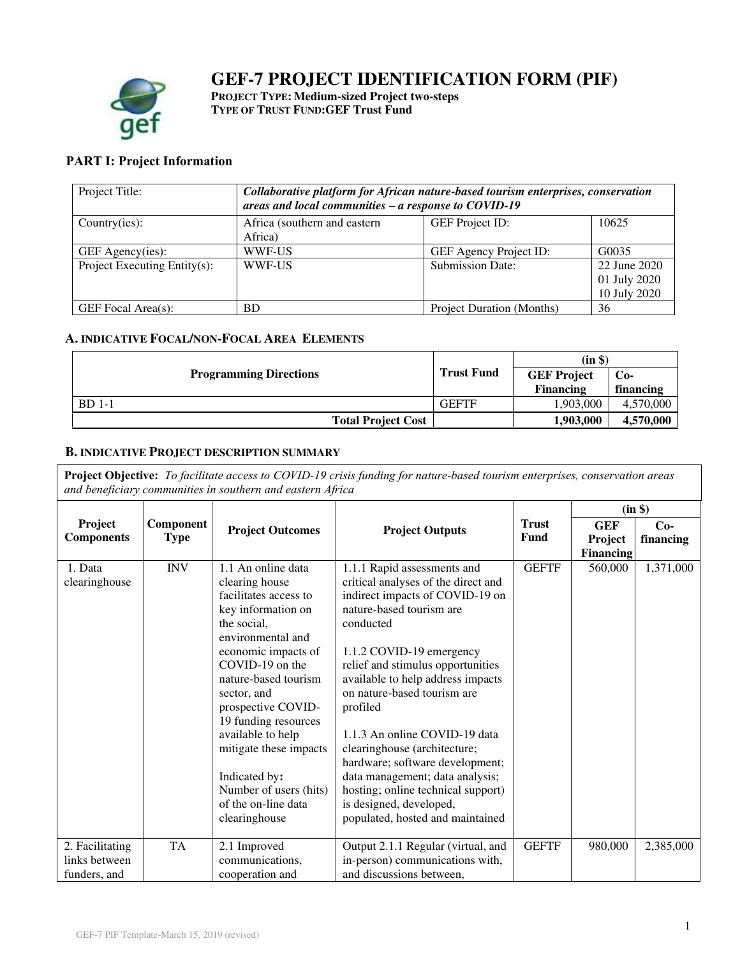# **GEF-7 PROJECT IDENTIFICATION FORM (PIF)**



**PROJECT TYPE: Medium-sized Project two-steps TYPE OF TRUST FUND:GEF Trust Fund** 

## **PART I: Project Information**

| Project Title:                   | Collaborative platform for African nature-based tourism enterprises, conservation<br>areas and local communities $-a$ response to COVID-19 |                           |                                              |  |
|----------------------------------|--------------------------------------------------------------------------------------------------------------------------------------------|---------------------------|----------------------------------------------|--|
| Country(ies):                    | Africa (southern and eastern<br>Africa)                                                                                                    | <b>GEF</b> Project ID:    | 10625                                        |  |
| GEF Agency(ies):                 | WWF-US                                                                                                                                     | GEF Agency Project ID:    | G0035                                        |  |
| Project Executing Entity $(s)$ : | WWF-US                                                                                                                                     | <b>Submission Date:</b>   | 22 June 2020<br>01 July 2020<br>10 July 2020 |  |
| GEF Focal Area(s):               | BD                                                                                                                                         | Project Duration (Months) | 36                                           |  |

## **A. INDICATIVE FOCAL/NON-FOCAL AREA ELEMENTS**

|                               |                   | (in \$)            |           |
|-------------------------------|-------------------|--------------------|-----------|
| <b>Programming Directions</b> | <b>Trust Fund</b> | <b>GEF Project</b> | $Co-$     |
|                               |                   | <b>Financing</b>   | financing |
| <b>BD</b> 1-1                 | <b>GEFTF</b>      | 1,903,000          | 4,570,000 |
| <b>Total Project Cost</b>     |                   | 1,903,000          | 4,570,000 |

## **B. INDICATIVE PROJECT DESCRIPTION SUMMARY**

**Project Objective:** *To facilitate access to COVID-19 crisis funding for nature-based tourism enterprises, conservation areas and beneficiary communities in southern and eastern Africa* 

|                                                  |                          |                                                                                                                                                                                                                                                                                                                                                                                          |                                                                                                                                                                                                                                                                                                                                                                                                                                                                                                                                             |                      |                             | (in \$)            |
|--------------------------------------------------|--------------------------|------------------------------------------------------------------------------------------------------------------------------------------------------------------------------------------------------------------------------------------------------------------------------------------------------------------------------------------------------------------------------------------|---------------------------------------------------------------------------------------------------------------------------------------------------------------------------------------------------------------------------------------------------------------------------------------------------------------------------------------------------------------------------------------------------------------------------------------------------------------------------------------------------------------------------------------------|----------------------|-----------------------------|--------------------|
| Project<br><b>Components</b>                     | Component<br><b>Type</b> | <b>Project Outcomes</b>                                                                                                                                                                                                                                                                                                                                                                  | <b>Project Outputs</b>                                                                                                                                                                                                                                                                                                                                                                                                                                                                                                                      | <b>Trust</b><br>Fund | <b>GEF</b>                  | $Co-$<br>financing |
|                                                  |                          |                                                                                                                                                                                                                                                                                                                                                                                          |                                                                                                                                                                                                                                                                                                                                                                                                                                                                                                                                             |                      | Project<br><b>Financing</b> |                    |
| 1. Data<br>clearinghouse                         | <b>INV</b>               | 1.1 An online data<br>clearing house<br>facilitates access to<br>key information on<br>the social.<br>environmental and<br>economic impacts of<br>COVID-19 on the<br>nature-based tourism<br>sector, and<br>prospective COVID-<br>19 funding resources<br>available to help<br>mitigate these impacts<br>Indicated by:<br>Number of users (hits)<br>of the on-line data<br>clearinghouse | 1.1.1 Rapid assessments and<br>critical analyses of the direct and<br>indirect impacts of COVID-19 on<br>nature-based tourism are<br>conducted<br>1.1.2 COVID-19 emergency<br>relief and stimulus opportunities<br>available to help address impacts<br>on nature-based tourism are<br>profiled<br>1.1.3 An online COVID-19 data<br>clearinghouse (architecture;<br>hardware; software development;<br>data management; data analysis;<br>hosting; online technical support)<br>is designed, developed,<br>populated, hosted and maintained | <b>GEFTF</b>         | 560,000                     | 1,371,000          |
| 2. Facilitating<br>links between<br>funders, and | <b>TA</b>                | 2.1 Improved<br>communications,<br>cooperation and                                                                                                                                                                                                                                                                                                                                       | Output 2.1.1 Regular (virtual, and<br>in-person) communications with,<br>and discussions between,                                                                                                                                                                                                                                                                                                                                                                                                                                           | <b>GEFTF</b>         | 980,000                     | 2,385,000          |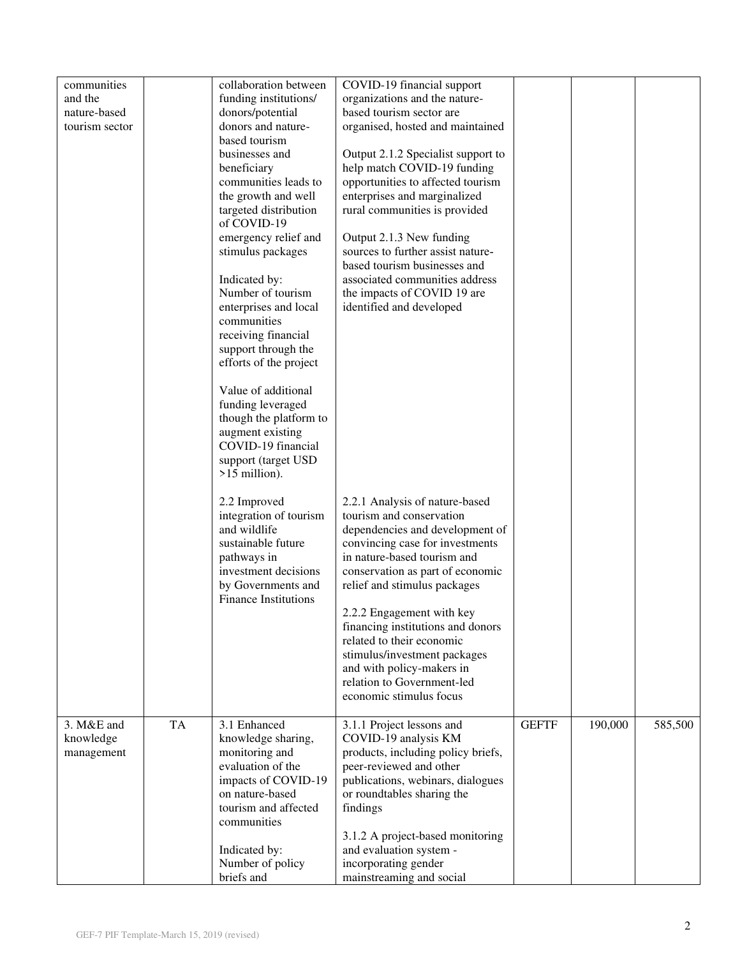| communities<br>and the<br>nature-based<br>tourism sector | collaboration between<br>funding institutions/<br>donors/potential<br>donors and nature-<br>based tourism<br>businesses and<br>beneficiary<br>communities leads to<br>the growth and well<br>targeted distribution<br>of COVID-19<br>emergency relief and<br>stimulus packages<br>Indicated by:<br>Number of tourism<br>enterprises and local<br>communities<br>receiving financial<br>support through the<br>efforts of the project<br>Value of additional<br>funding leveraged<br>though the platform to<br>augment existing<br>COVID-19 financial<br>support (target USD<br>$>15$ million).<br>2.2 Improved<br>integration of tourism<br>and wildlife<br>sustainable future<br>pathways in<br>investment decisions<br>by Governments and<br><b>Finance Institutions</b> | COVID-19 financial support<br>organizations and the nature-<br>based tourism sector are<br>organised, hosted and maintained<br>Output 2.1.2 Specialist support to<br>help match COVID-19 funding<br>opportunities to affected tourism<br>enterprises and marginalized<br>rural communities is provided<br>Output 2.1.3 New funding<br>sources to further assist nature-<br>based tourism businesses and<br>associated communities address<br>the impacts of COVID 19 are<br>identified and developed<br>2.2.1 Analysis of nature-based<br>tourism and conservation<br>dependencies and development of<br>convincing case for investments<br>in nature-based tourism and<br>conservation as part of economic<br>relief and stimulus packages<br>2.2.2 Engagement with key<br>financing institutions and donors<br>related to their economic<br>stimulus/investment packages<br>and with policy-makers in<br>relation to Government-led |              |         |         |
|----------------------------------------------------------|----------------------------------------------------------------------------------------------------------------------------------------------------------------------------------------------------------------------------------------------------------------------------------------------------------------------------------------------------------------------------------------------------------------------------------------------------------------------------------------------------------------------------------------------------------------------------------------------------------------------------------------------------------------------------------------------------------------------------------------------------------------------------|---------------------------------------------------------------------------------------------------------------------------------------------------------------------------------------------------------------------------------------------------------------------------------------------------------------------------------------------------------------------------------------------------------------------------------------------------------------------------------------------------------------------------------------------------------------------------------------------------------------------------------------------------------------------------------------------------------------------------------------------------------------------------------------------------------------------------------------------------------------------------------------------------------------------------------------|--------------|---------|---------|
| <b>TA</b><br>3. M&E and                                  | 3.1 Enhanced                                                                                                                                                                                                                                                                                                                                                                                                                                                                                                                                                                                                                                                                                                                                                               | economic stimulus focus<br>3.1.1 Project lessons and                                                                                                                                                                                                                                                                                                                                                                                                                                                                                                                                                                                                                                                                                                                                                                                                                                                                                  | <b>GEFTF</b> | 190,000 | 585,500 |
| knowledge<br>management                                  | knowledge sharing,<br>monitoring and<br>evaluation of the<br>impacts of COVID-19<br>on nature-based<br>tourism and affected<br>communities<br>Indicated by:<br>Number of policy<br>briefs and                                                                                                                                                                                                                                                                                                                                                                                                                                                                                                                                                                              | COVID-19 analysis KM<br>products, including policy briefs,<br>peer-reviewed and other<br>publications, webinars, dialogues<br>or roundtables sharing the<br>findings<br>3.1.2 A project-based monitoring<br>and evaluation system -<br>incorporating gender<br>mainstreaming and social                                                                                                                                                                                                                                                                                                                                                                                                                                                                                                                                                                                                                                               |              |         |         |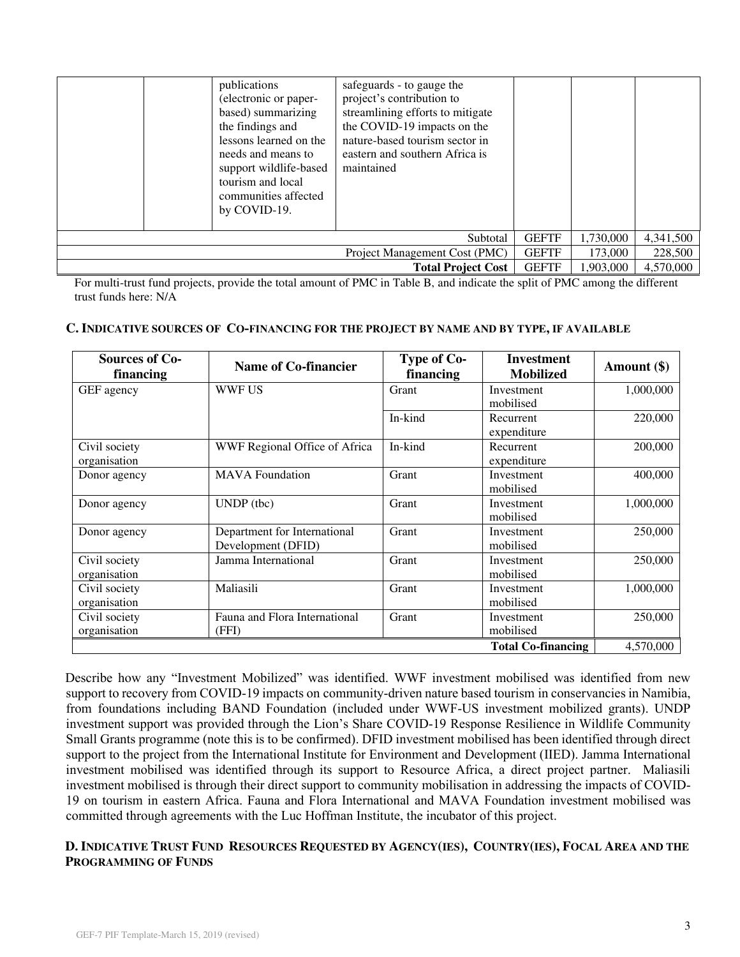|                               | publications<br>(electronic or paper-<br>based) summarizing<br>the findings and<br>lessons learned on the<br>needs and means to<br>support wildlife-based<br>tourism and local<br>communities affected<br>by COVID-19. | safeguards - to gauge the<br>project's contribution to<br>streamlining efforts to mitigate<br>the COVID-19 impacts on the<br>nature-based tourism sector in<br>eastern and southern Africa is<br>maintained |              |           |           |
|-------------------------------|------------------------------------------------------------------------------------------------------------------------------------------------------------------------------------------------------------------------|-------------------------------------------------------------------------------------------------------------------------------------------------------------------------------------------------------------|--------------|-----------|-----------|
| Subtotal                      |                                                                                                                                                                                                                        |                                                                                                                                                                                                             | <b>GEFTF</b> | 1,730,000 | 4,341,500 |
| Project Management Cost (PMC) |                                                                                                                                                                                                                        |                                                                                                                                                                                                             | <b>GEFTF</b> | 173,000   | 228,500   |
|                               |                                                                                                                                                                                                                        | <b>Total Project Cost</b>                                                                                                                                                                                   | <b>GEFTF</b> | 1.903.000 | 4.570,000 |

For multi-trust fund projects, provide the total amount of PMC in Table B, and indicate the split of PMC among the different trust funds here: N/A

#### **C. INDICATIVE SOURCES OF CO-FINANCING FOR THE PROJECT BY NAME AND BY TYPE, IF AVAILABLE**

| <b>Sources of Co-</b><br>financing | <b>Name of Co-financier</b>                        | Type of Co-<br>financing | <b>Investment</b><br><b>Mobilized</b> | Amount $(\$)$ |
|------------------------------------|----------------------------------------------------|--------------------------|---------------------------------------|---------------|
| GEF agency                         | <b>WWF US</b>                                      | Grant                    | Investment<br>mobilised               | 1,000,000     |
|                                    |                                                    | In-kind                  | Recurrent<br>expenditure              | 220,000       |
| Civil society<br>organisation      | WWF Regional Office of Africa                      | In-kind                  | Recurrent<br>expenditure              | 200,000       |
| Donor agency                       | <b>MAVA</b> Foundation                             | Grant                    | Investment<br>mobilised               | 400,000       |
| Donor agency                       | $UNDP$ (tbc)                                       | Grant                    | Investment<br>mobilised               | 1,000,000     |
| Donor agency                       | Department for International<br>Development (DFID) | Grant                    | Investment<br>mobilised               | 250,000       |
| Civil society<br>organisation      | Jamma International                                | Grant                    | Investment<br>mobilised               | 250,000       |
| Civil society<br>organisation      | Maliasili                                          | Grant                    | Investment<br>mobilised               | 1,000,000     |
| Civil society<br>organisation      | Fauna and Flora International<br>(FFI)             | Grant                    | Investment<br>mobilised               | 250,000       |
|                                    |                                                    |                          | <b>Total Co-financing</b>             | 4,570,000     |

Describe how any "Investment Mobilized" was identified. WWF investment mobilised was identified from new support to recovery from COVID-19 impacts on community-driven nature based tourism in conservancies in Namibia, from foundations including BAND Foundation (included under WWF-US investment mobilized grants). UNDP investment support was provided through the Lion's Share COVID-19 Response Resilience in Wildlife Community Small Grants programme (note this is to be confirmed). DFID investment mobilised has been identified through direct support to the project from the International Institute for Environment and Development (IIED). Jamma International investment mobilised was identified through its support to Resource Africa, a direct project partner. Maliasili investment mobilised is through their direct support to community mobilisation in addressing the impacts of COVID-19 on tourism in eastern Africa. Fauna and Flora International and MAVA Foundation investment mobilised was committed through agreements with the Luc Hoffman Institute, the incubator of this project.

## D. INDICATIVE TRUST FUND RESOURCES REQUESTED BY AGENCY(IES), COUNTRY(IES), FOCAL AREA AND THE **PROGRAMMING OF FUNDS**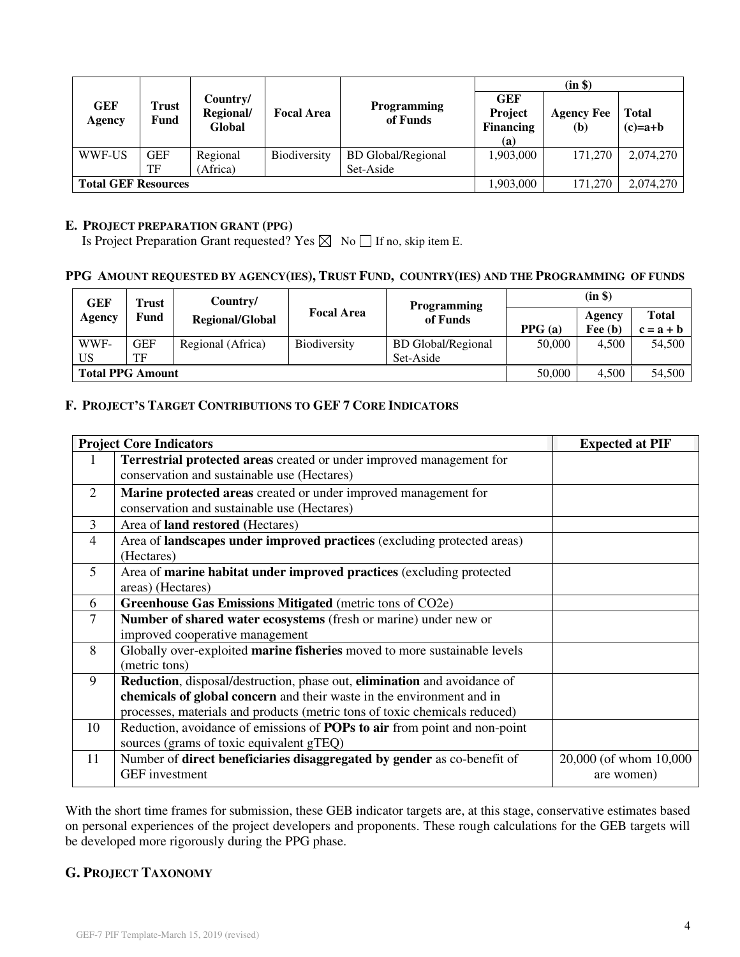|                            |                  |                                 |                     |                                        |                                                  | (in \$)                  |                           |
|----------------------------|------------------|---------------------------------|---------------------|----------------------------------------|--------------------------------------------------|--------------------------|---------------------------|
| <b>GEF</b><br>Agency       | Trust<br>Fund    | Country/<br>Regional/<br>Global | <b>Focal Area</b>   | <b>Programming</b><br>of Funds         | <b>GEF</b><br>Project<br><b>Financing</b><br>(a) | <b>Agency Fee</b><br>(b) | <b>Total</b><br>$(c)=a+b$ |
| WWF-US                     | <b>GEF</b><br>TF | Regional<br>(Africa)            | <b>Biodiversity</b> | <b>BD</b> Global/Regional<br>Set-Aside | 1,903,000                                        | 171,270                  | 2,074,270                 |
| <b>Total GEF Resources</b> |                  |                                 |                     |                                        | 1,903,000                                        | 171.270                  | 2,074,270                 |

#### **E. PROJECT PREPARATION GRANT (PPG)**

Is Project Preparation Grant requested? Yes  $\boxtimes$  No  $\Box$  If no, skip item E.

## PPG AMOUNT REQUESTED BY AGENCY(IES), TRUST FUND, COUNTRY(IES) AND THE PROGRAMMING OF FUNDS

| GEF                     | Trust      | Country/               |                     | <b>Programming</b>        |        | (in \$)   |              |
|-------------------------|------------|------------------------|---------------------|---------------------------|--------|-----------|--------------|
| Agency                  | Fund       | <b>Regional/Global</b> | <b>Focal Area</b>   | of Funds                  |        | Agency    | <b>Total</b> |
|                         |            |                        |                     |                           | PPG(a) | Fee $(b)$ | $c = a + b$  |
| WWF-                    | <b>GEF</b> | Regional (Africa)      | <b>Biodiversity</b> | <b>BD</b> Global/Regional | 50,000 | 4.500     | 54,500       |
| US                      | TF         |                        |                     | Set-Aside                 |        |           |              |
| <b>Total PPG Amount</b> |            |                        |                     | 50,000                    | 4.500  | 54,500    |              |

## **F. PROJECT'S TARGET CONTRIBUTIONS TO GEF 7 CORE INDICATORS**

|                | <b>Project Core Indicators</b>                                                   | <b>Expected at PIF</b> |
|----------------|----------------------------------------------------------------------------------|------------------------|
| 1              | Terrestrial protected areas created or under improved management for             |                        |
|                | conservation and sustainable use (Hectares)                                      |                        |
| 2              | Marine protected areas created or under improved management for                  |                        |
|                | conservation and sustainable use (Hectares)                                      |                        |
| 3              | Area of <b>land restored</b> (Hectares)                                          |                        |
| $\overline{4}$ | Area of <b>landscapes under improved practices</b> (excluding protected areas)   |                        |
|                | (Hectares)                                                                       |                        |
| 5              | Area of marine habitat under improved practices (excluding protected             |                        |
|                | areas) (Hectares)                                                                |                        |
| 6              | Greenhouse Gas Emissions Mitigated (metric tons of CO2e)                         |                        |
| 7              | Number of shared water ecosystems (fresh or marine) under new or                 |                        |
|                | improved cooperative management                                                  |                        |
| 8              | Globally over-exploited marine fisheries moved to more sustainable levels        |                        |
|                | (metric tons)                                                                    |                        |
| 9              | Reduction, disposal/destruction, phase out, elimination and avoidance of         |                        |
|                | chemicals of global concern and their waste in the environment and in            |                        |
|                | processes, materials and products (metric tons of toxic chemicals reduced)       |                        |
| 10             | Reduction, avoidance of emissions of <b>POPs to air</b> from point and non-point |                        |
|                | sources (grams of toxic equivalent gTEQ)                                         |                        |
| 11             | Number of direct beneficiaries disaggregated by gender as co-benefit of          | 20,000 (of whom 10,000 |
|                | <b>GEF</b> investment                                                            | are women)             |

With the short time frames for submission, these GEB indicator targets are, at this stage, conservative estimates based on personal experiences of the project developers and proponents. These rough calculations for the GEB targets will be developed more rigorously during the PPG phase.

## **G. PROJECT TAXONOMY**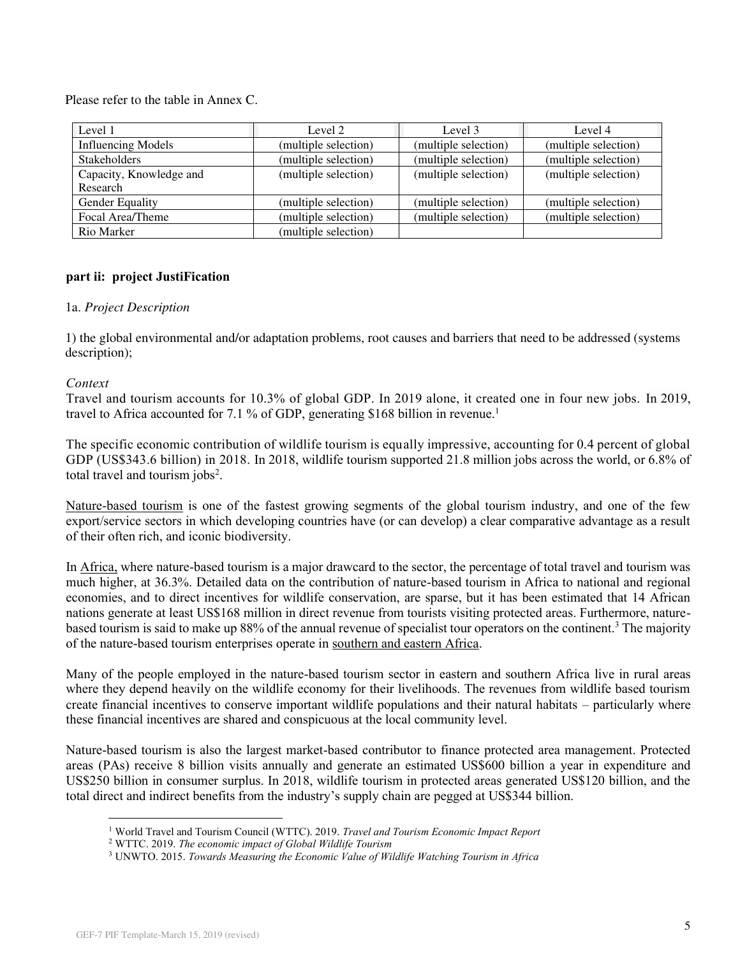Please refer to the table in Annex C.

| Level 1                   | Level 2              | Level 3              | Level 4              |
|---------------------------|----------------------|----------------------|----------------------|
| <b>Influencing Models</b> | (multiple selection) | (multiple selection) | (multiple selection) |
| <b>Stakeholders</b>       | (multiple selection) | (multiple selection) | (multiple selection) |
| Capacity, Knowledge and   | (multiple selection) | (multiple selection) | (multiple selection) |
| Research                  |                      |                      |                      |
| <b>Gender Equality</b>    | (multiple selection) | (multiple selection) | (multiple selection) |
| Focal Area/Theme          | (multiple selection) | (multiple selection) | (multiple selection) |
| Rio Marker                | (multiple selection) |                      |                      |

## **part ii: project JustiFication**

#### 1a. *Project Description*

1) the global environmental and/or adaptation problems, root causes and barriers that need to be addressed (systems description);

## *Context*

Travel and tourism accounts for 10.3% of global GDP. In 2019 alone, it created one in four new jobs. In 2019, travel to Africa accounted for 7.1 % of GDP, generating \$168 billion in revenue.<sup>1</sup>

The specific economic contribution of wildlife tourism is equally impressive, accounting for 0.4 percent of global GDP (US\$343.6 billion) in 2018. In 2018, wildlife tourism supported 21.8 million jobs across the world, or 6.8% of total travel and tourism jobs<sup>2</sup>.

Nature-based tourism is one of the fastest growing segments of the global tourism industry, and one of the few export/service sectors in which developing countries have (or can develop) a clear comparative advantage as a result of their often rich, and iconic biodiversity.

In Africa, where nature-based tourism is a major drawcard to the sector, the percentage of total travel and tourism was much higher, at 36.3%. Detailed data on the contribution of nature-based tourism in Africa to national and regional economies, and to direct incentives for wildlife conservation, are sparse, but it has been estimated that 14 African nations generate at least US\$168 million in direct revenue from tourists visiting protected areas. Furthermore, naturebased tourism is said to make up 88% of the annual revenue of specialist tour operators on the continent.<sup>3</sup> The majority of the nature-based tourism enterprises operate in southern and eastern Africa.

Many of the people employed in the nature-based tourism sector in eastern and southern Africa live in rural areas where they depend heavily on the wildlife economy for their livelihoods. The revenues from wildlife based tourism create financial incentives to conserve important wildlife populations and their natural habitats – particularly where these financial incentives are shared and conspicuous at the local community level.

Nature-based tourism is also the largest market-based contributor to finance protected area management. Protected areas (PAs) receive 8 billion visits annually and generate an estimated US\$600 billion a year in expenditure and US\$250 billion in consumer surplus. In 2018, wildlife tourism in protected areas generated US\$120 billion, and the total direct and indirect benefits from the industry's supply chain are pegged at US\$344 billion.

<sup>1</sup> World Travel and Tourism Council (WTTC). 2019. *Travel and Tourism Economic Impact Report*

<sup>2</sup> WTTC. 2019. *The economic impact of Global Wildlife Tourism*

<sup>3</sup> UNWTO. 2015. *Towards Measuring the Economic Value of Wildlife Watching Tourism in Africa*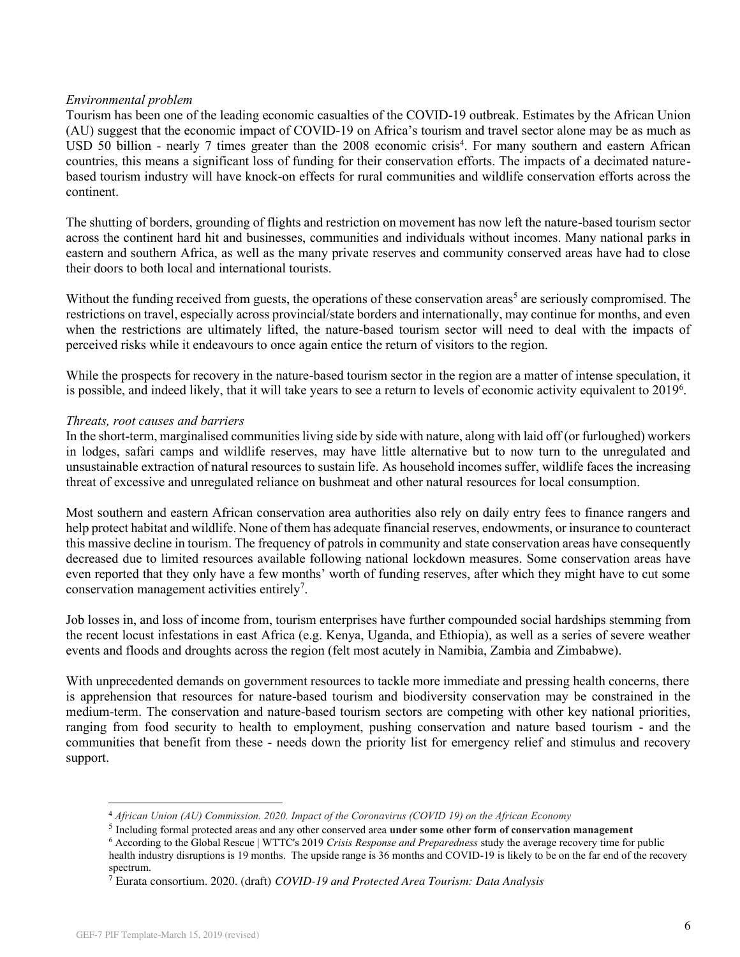## *Environmental problem*

Tourism has been one of the leading economic casualties of the COVID-19 outbreak. Estimates by the African Union (AU) suggest that the economic impact of COVID-19 on Africa's tourism and travel sector alone may be as much as USD 50 billion - nearly 7 times greater than the 2008 economic crisis<sup>4</sup>. For many southern and eastern African countries, this means a significant loss of funding for their conservation efforts. The impacts of a decimated naturebased tourism industry will have knock-on effects for rural communities and wildlife conservation efforts across the continent.

The shutting of borders, grounding of flights and restriction on movement has now left the nature-based tourism sector across the continent hard hit and businesses, communities and individuals without incomes. Many national parks in eastern and southern Africa, as well as the many private reserves and community conserved areas have had to close their doors to both local and international tourists.

Without the funding received from guests, the operations of these conservation areas<sup>5</sup> are seriously compromised. The restrictions on travel, especially across provincial/state borders and internationally, may continue for months, and even when the restrictions are ultimately lifted, the nature-based tourism sector will need to deal with the impacts of perceived risks while it endeavours to once again entice the return of visitors to the region.

While the prospects for recovery in the nature-based tourism sector in the region are a matter of intense speculation, it is possible, and indeed likely, that it will take years to see a return to levels of economic activity equivalent to 2019<sup>6</sup>.

#### *Threats, root causes and barriers*

In the short-term, marginalised communities living side by side with nature, along with laid off (or furloughed) workers in lodges, safari camps and wildlife reserves, may have little alternative but to now turn to the unregulated and unsustainable extraction of natural resources to sustain life. As household incomes suffer, wildlife faces the increasing threat of excessive and unregulated reliance on bushmeat and other natural resources for local consumption.

Most southern and eastern African conservation area authorities also rely on daily entry fees to finance rangers and help protect habitat and wildlife. None of them has adequate financial reserves, endowments, or insurance to counteract this massive decline in tourism. The frequency of patrols in community and state conservation areas have consequently decreased due to limited resources available following national lockdown measures. Some conservation areas have even reported that they only have a few months' worth of funding reserves, after which they might have to cut some conservation management activities entirely<sup>7</sup>.

Job losses in, and loss of income from, tourism enterprises have further compounded social hardships stemming from the recent locust infestations in east Africa (e.g. Kenya, Uganda, and Ethiopia), as well as a series of severe weather events and floods and droughts across the region (felt most acutely in Namibia, Zambia and Zimbabwe).

With unprecedented demands on government resources to tackle more immediate and pressing health concerns, there is apprehension that resources for nature-based tourism and biodiversity conservation may be constrained in the medium-term. The conservation and nature-based tourism sectors are competing with other key national priorities, ranging from food security to health to employment, pushing conservation and nature based tourism - and the communities that benefit from these - needs down the priority list for emergency relief and stimulus and recovery support.

<sup>4</sup> *African Union (AU) Commission. 2020. Impact of the Coronavirus (COVID 19) on the African Economy*

<sup>5</sup> Including formal protected areas and any other conserved area **under some other form of conservation management**

<sup>6</sup> According to the Global Rescue | WTTC's 2019 *Crisis Response and Preparedness* study the average recovery time for public health industry disruptions is 19 months. The upside range is 36 months and COVID-19 is likely to be on the far end of the recovery spectrum.

<sup>7</sup> Eurata consortium. 2020. (draft) *COVID-19 and Protected Area Tourism: Data Analysis*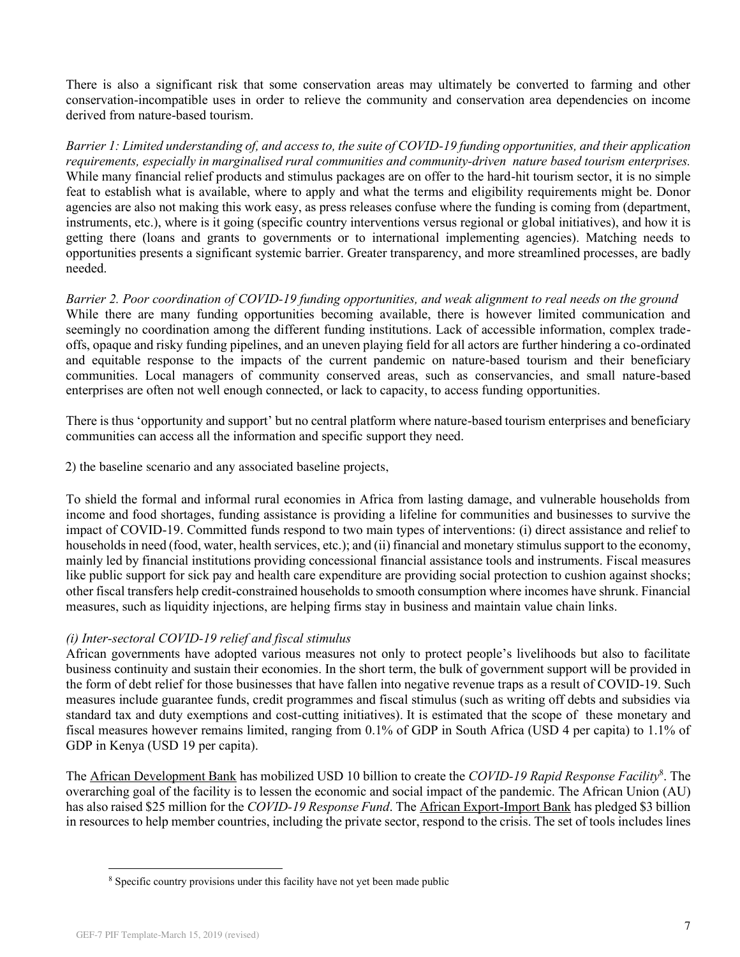There is also a significant risk that some conservation areas may ultimately be converted to farming and other conservation-incompatible uses in order to relieve the community and conservation area dependencies on income derived from nature-based tourism.

*Barrier 1: Limited understanding of, and access to, the suite of COVID-19 funding opportunities, and their application requirements, especially in marginalised rural communities and community-driven nature based tourism enterprises.* While many financial relief products and stimulus packages are on offer to the hard-hit tourism sector, it is no simple feat to establish what is available, where to apply and what the terms and eligibility requirements might be. Donor agencies are also not making this work easy, as press releases confuse where the funding is coming from (department, instruments, etc.), where is it going (specific country interventions versus regional or global initiatives), and how it is getting there (loans and grants to governments or to international implementing agencies). Matching needs to opportunities presents a significant systemic barrier. Greater transparency, and more streamlined processes, are badly needed.

*Barrier 2. Poor coordination of COVID-19 funding opportunities, and weak alignment to real needs on the ground* While there are many funding opportunities becoming available, there is however limited communication and seemingly no coordination among the different funding institutions. Lack of accessible information, complex tradeoffs, opaque and risky funding pipelines, and an uneven playing field for all actors are further hindering a co-ordinated and equitable response to the impacts of the current pandemic on nature-based tourism and their beneficiary communities. Local managers of community conserved areas, such as conservancies, and small nature-based enterprises are often not well enough connected, or lack to capacity, to access funding opportunities.

There is thus 'opportunity and support' but no central platform where nature-based tourism enterprises and beneficiary communities can access all the information and specific support they need.

2) the baseline scenario and any associated baseline projects,

To shield the formal and informal rural economies in Africa from lasting damage, and vulnerable households from income and food shortages, funding assistance is providing a lifeline for communities and businesses to survive the impact of COVID-19. Committed funds respond to two main types of interventions: (i) direct assistance and relief to households in need (food, water, health services, etc.); and (ii) financial and monetary stimulus support to the economy, mainly led by financial institutions providing concessional financial assistance tools and instruments. Fiscal measures like public support for sick pay and health care expenditure are providing social protection to cushion against shocks; other fiscal transfers help credit-constrained households to smooth consumption where incomes have shrunk. Financial measures, such as liquidity injections, are helping firms stay in business and maintain value chain links.

## *(i) Inter-sectoral COVID-19 relief and fiscal stimulus*

African governments have adopted various measures not only to protect people's livelihoods but also to facilitate business continuity and sustain their economies. In the short term, the bulk of government support will be provided in the form of debt relief for those businesses that have fallen into negative revenue traps as a result of COVID-19. Such measures include guarantee funds, credit programmes and fiscal stimulus (such as writing off debts and subsidies via standard tax and duty exemptions and cost-cutting initiatives). It is estimated that the scope of these monetary and fiscal measures however remains limited, ranging from 0.1% of GDP in South Africa (USD 4 per capita) to 1.1% of GDP in Kenya (USD 19 per capita).

The [African Development Bank](https://www.devex.com/organizations/african-development-bank-afdb-19838) has mobilized USD 10 billion to create the *COVID-19 Rapid Response Facility*<sup>8</sup> . The overarching goal of the facility is to lessen the economic and social impact of the pandemic. The African Union (AU) has also raised \$25 million for the *COVID-19 Response Fund*. The [African Export-Import Bank](https://www.devex.com/organizations/african-export-import-bank-afreximbank-45335) has pledged \$3 billion in resources to help member countries, including the private sector, respond to the crisis. The set of tools includes lines

<sup>&</sup>lt;sup>8</sup> Specific country provisions under this facility have not yet been made public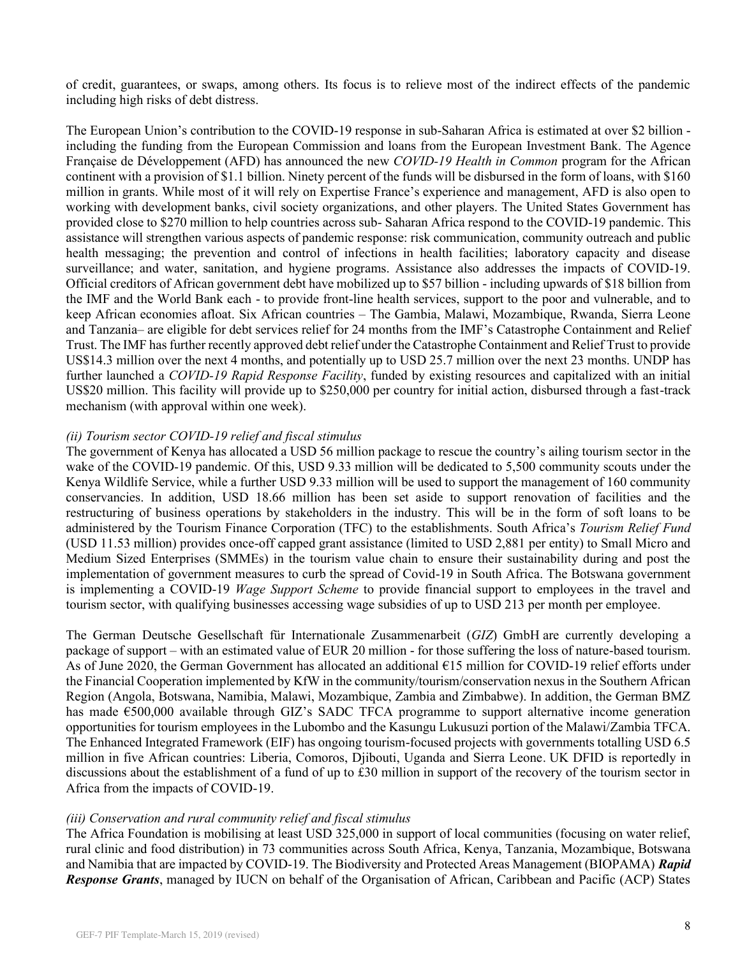of credit, guarantees, or swaps, among others. Its focus is to relieve most of the indirect effects of the pandemic including high risks of debt distress.

The European Union's contribution to the COVID-19 response in sub-Saharan Africa is estimated at over \$2 billion including the funding from the European Commission and loans from the European Investment Bank. The Agence Française de Développement (AFD) has announced the new *COVID-19 Health in Common* program for the African continent with a provision of \$1.1 billion. Ninety percent of the funds will be disbursed in the form of loans, with \$160 million in grants. While most of it will rely on Expertise France's experience and management, AFD is also open to working with development banks, civil society organizations, and other players. The United States Government has provided close to \$270 million to help countries across sub- Saharan Africa respond to the COVID-19 pandemic. This assistance will strengthen various aspects of pandemic response: risk communication, community outreach and public health messaging; the prevention and control of infections in health facilities; laboratory capacity and disease surveillance; and water, sanitation, and hygiene programs. Assistance also addresses the impacts of COVID-19. Official creditors of African government debt have mobilized up to \$57 billion - including upwards of \$18 billion from the IMF and the World Bank each - to provide front-line health services, support to the poor and vulnerable, and to keep African economies afloat. Six African countries – The Gambia, Malawi, Mozambique, Rwanda, Sierra Leone and Tanzania– are eligible for debt services relief for 24 months from the IMF's Catastrophe Containment and Relief Trust. The IMF has further recently approved debt relief under the Catastrophe Containment and Relief Trust to provide US\$14.3 million over the next 4 months, and potentially up to USD 25.7 million over the next 23 months. UNDP has further launched a *COVID-19 Rapid Response Facility*, funded by existing resources and capitalized with an initial US\$20 million. This facility will provide up to \$250,000 per country for initial action, disbursed through a fast-track mechanism (with approval within one week).

#### *(ii) Tourism sector COVID-19 relief and fiscal stimulus*

The government of Kenya has allocated a USD 56 million package to rescue the country's ailing tourism sector in the wake of the COVID-19 pandemic. Of this, USD 9.33 million will be dedicated to 5,500 community scouts under the Kenya Wildlife Service, while a further USD 9.33 million will be used to support the management of 160 community conservancies. In addition, USD 18.66 million has been set aside to support renovation of facilities and the restructuring of business operations by stakeholders in the industry. This will be in the form of soft loans to be administered by the Tourism Finance Corporation (TFC) to the establishments. South Africa's *Tourism Relief Fund* (USD 11.53 million) provides once-off capped grant assistance (limited to USD 2,881 per entity) to Small Micro and Medium Sized Enterprises (SMMEs) in the tourism value chain to ensure their sustainability during and post the implementation of government measures to curb the spread of Covid-19 in South Africa. The Botswana government is implementing a COVID-19 *Wage Support Scheme* to provide financial support to employees in the travel and tourism sector, with qualifying businesses accessing wage subsidies of up to USD 213 per month per employee.

The German Deutsche Gesellschaft für Internationale Zusammenarbeit (*GIZ*) GmbH are currently developing a package of support – with an estimated value of EUR 20 million - for those suffering the loss of nature-based tourism. As of June 2020, the German Government has allocated an additional €15 million for COVID-19 relief efforts under the Financial Cooperation implemented by KfW in the community/tourism/conservation nexus in the Southern African Region (Angola, Botswana, Namibia, Malawi, Mozambique, Zambia and Zimbabwe). In addition, the German BMZ has made €500,000 available through GIZ's SADC TFCA programme to support alternative income generation opportunities for tourism employees in the Lubombo and the Kasungu Lukusuzi portion of the Malawi/Zambia TFCA. The Enhanced Integrated Framework (EIF) has ongoing tourism-focused projects with governments totalling USD 6.5 million in five African countries: Liberia, Comoros, Djibouti, Uganda and Sierra Leone. UK DFID is reportedly in discussions about the establishment of a fund of up to £30 million in support of the recovery of the tourism sector in Africa from the impacts of COVID-19.

#### *(iii) Conservation and rural community relief and fiscal stimulus*

The Africa Foundation is mobilising at least USD 325,000 in support of local communities (focusing on water relief, rural clinic and food distribution) in 73 communities across South Africa, Kenya, Tanzania, Mozambique, Botswana and Namibia that are impacted by COVID-19. The Biodiversity and Protected Areas Management (BIOPAMA) *Rapid Response Grants*, managed by IUCN on behalf of the Organisation of African, Caribbean and Pacific (ACP) States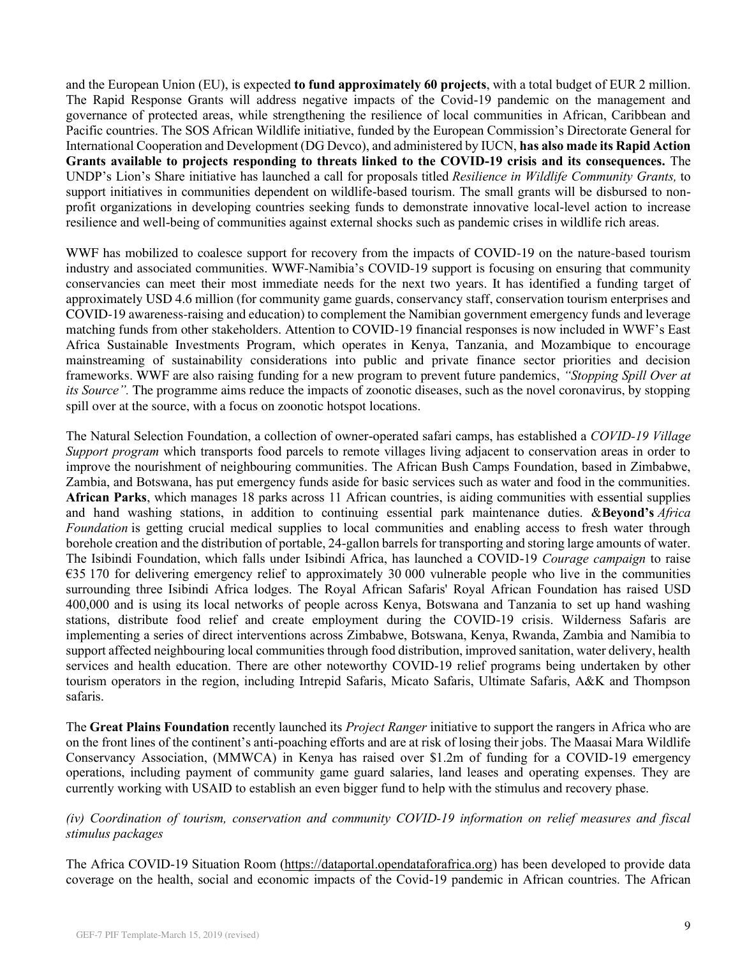and the European Union (EU), is expected **to fund approximately 60 projects**, with a total budget of EUR 2 million. The Rapid Response Grants will address negative impacts of the Covid-19 pandemic on the management and governance of protected areas, while strengthening the resilience of local communities in African, Caribbean and Pacific countries. The SOS African Wildlife initiative, funded by the European Commission's Directorate General for International Cooperation and Development (DG Devco), and administered by IUCN, **has also made its Rapid Action Grants available to projects responding to threats linked to the COVID-19 crisis and its consequences.** The UNDP's Lion's Share initiative has launched a call for proposals titled *Resilience in Wildlife Community Grants,* to support initiatives in communities dependent on wildlife-based tourism. The small grants will be disbursed to nonprofit organizations in developing countries seeking funds to demonstrate innovative local-level action to increase resilience and well-being of communities against external shocks such as pandemic crises in wildlife rich areas.

WWF has mobilized to coalesce support for recovery from the impacts of COVID-19 on the nature-based tourism industry and associated communities. WWF-Namibia's COVID-19 support is focusing on ensuring that community conservancies can meet their most immediate needs for the next two years. It has identified a funding target of approximately USD 4.6 million (for community game guards, conservancy staff, conservation tourism enterprises and COVID-19 awareness-raising and education) to complement the Namibian government emergency funds and leverage matching funds from other stakeholders. Attention to COVID-19 financial responses is now included in WWF's East Africa Sustainable Investments Program, which operates in Kenya, Tanzania, and Mozambique to encourage mainstreaming of sustainability considerations into public and private finance sector priorities and decision frameworks. WWF are also raising funding for a new program to prevent future pandemics, *"Stopping Spill Over at its Source".* The programme aims reduce the impacts of zoonotic diseases, such as the novel coronavirus, by stopping spill over at the source, with a focus on zoonotic hotspot locations.

The Natural Selection Foundation, a collection of owner-operated safari camps, has established a *COVID-19 Village Support program* which transports food parcels to remote villages living adjacent to conservation areas in order to improve the nourishment of neighbouring communities. The African Bush Camps Foundation, based in Zimbabwe, Zambia, and Botswana, has put emergency funds aside for basic services such as water and food in the communities. **African Parks**, which manages 18 parks across 11 African countries, is aiding communities with essential supplies and hand washing stations, in addition to continuing essential park maintenance duties. &**Beyond's** *Africa Foundation* is getting crucial medical supplies to local communities and enabling access to fresh water through borehole creation and the distribution of portable, 24-gallon barrels for transporting and storing large amounts of water. The Isibindi Foundation, which falls under Isibindi Africa, has launched a COVID-19 *Courage campaign* to raise  $\epsilon$ 35 170 for delivering emergency relief to approximately 30 000 vulnerable people who live in the communities surrounding three Isibindi Africa lodges. The Royal African Safaris' Royal African Foundation has raised USD 400,000 and is using its local networks of people across Kenya, Botswana and Tanzania to set up hand washing stations, distribute food relief and create employment during the COVID-19 crisis. Wilderness Safaris are implementing a series of direct interventions across Zimbabwe, Botswana, Kenya, Rwanda, Zambia and Namibia to support affected neighbouring local communities through food distribution, improved sanitation, water delivery, health services and health education. There are other noteworthy COVID-19 relief programs being undertaken by other tourism operators in the region, including Intrepid Safaris, Micato Safaris, Ultimate Safaris, A&K and Thompson safaris.

The **Great Plains Foundation** recently launched its *Project Ranger* initiative to support the rangers in Africa who are on the front lines of the continent's anti-poaching efforts and are at risk of losing their jobs. The Maasai Mara Wildlife Conservancy Association, (MMWCA) in Kenya has raised over \$1.2m of funding for a COVID-19 emergency operations, including payment of community game guard salaries, land leases and operating expenses. They are currently working with USAID to establish an even bigger fund to help with the stimulus and recovery phase.

## *(iv) Coordination of tourism, conservation and community COVID-19 information on relief measures and fiscal stimulus packages*

The Africa COVID-19 Situation Room [\(https://dataportal.opendataforafrica.org\)](https://dataportal.opendataforafrica.org/) has been developed to provide data coverage on the health, social and economic impacts of the Covid-19 pandemic in African countries. The African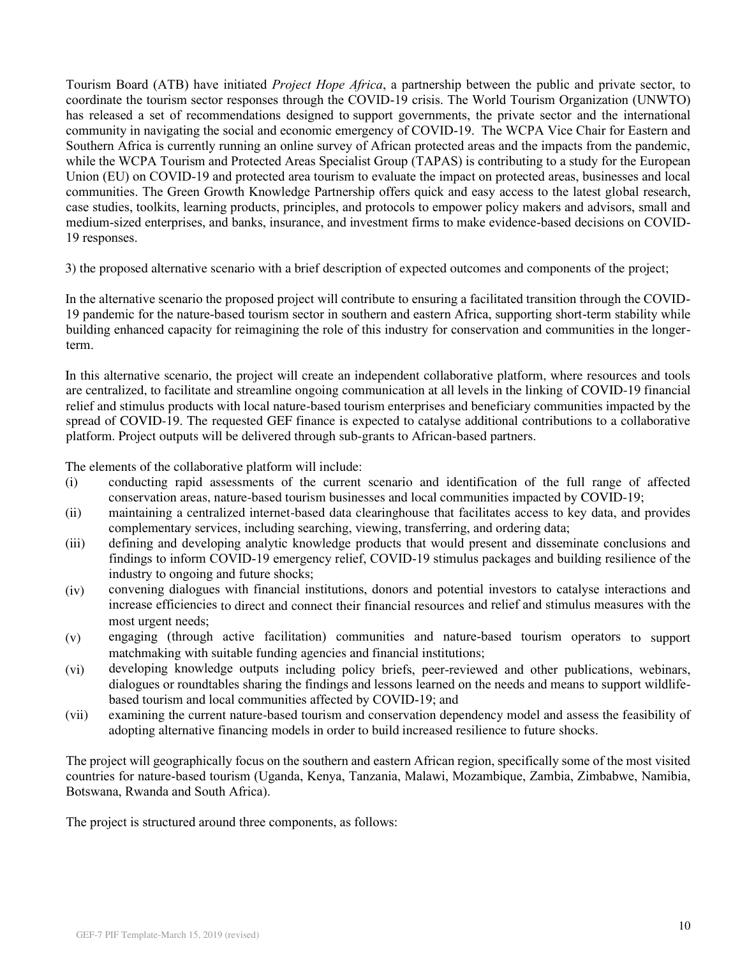Tourism Board (ATB) have initiated *Project Hope Africa*, a partnership between the public and private sector, to coordinate the tourism sector responses through the COVID-19 crisis. The World Tourism Organization (UNWTO) has released a set of recommendations designed to support governments, the private sector and the international community in navigating the social and economic emergency of COVID-19. The WCPA Vice Chair for Eastern and Southern Africa is currently running an online survey of African protected areas and the impacts from the pandemic, while the WCPA Tourism and Protected Areas Specialist Group (TAPAS) is contributing to a study for the European Union (EU) on COVID-19 and protected area tourism to evaluate the impact on protected areas, businesses and local communities. The Green Growth Knowledge Partnership offers quick and easy access to the latest global research, case studies, toolkits, learning products, principles, and protocols to empower policy makers and advisors, small and medium-sized enterprises, and banks, insurance, and investment firms to make evidence-based decisions on COVID-19 responses.

3) the proposed alternative scenario with a brief description of expected outcomes and components of the project;

In the alternative scenario the proposed project will contribute to ensuring a facilitated transition through the COVID-19 pandemic for the nature-based tourism sector in southern and eastern Africa, supporting short-term stability while building enhanced capacity for reimagining the role of this industry for conservation and communities in the longerterm.

In this alternative scenario, the project will create an independent collaborative platform, where resources and tools are centralized, to facilitate and streamline ongoing communication at all levels in the linking of COVID-19 financial relief and stimulus products with local nature-based tourism enterprises and beneficiary communities impacted by the spread of COVID-19. The requested GEF finance is expected to catalyse additional contributions to a collaborative platform. Project outputs will be delivered through sub-grants to African-based partners.

The elements of the collaborative platform will include:

- (i) conducting rapid assessments of the current scenario and identification of the full range of affected conservation areas, nature-based tourism businesses and local communities impacted by COVID-19;
- (ii) maintaining a centralized internet-based data clearinghouse that facilitates access to key data, and provides complementary services, including searching, viewing, transferring, and ordering data;
- (iii) defining and developing analytic knowledge products that would present and disseminate conclusions and findings to inform COVID-19 emergency relief, COVID-19 stimulus packages and building resilience of the industry to ongoing and future shocks;
- (iv) convening dialogues with financial institutions, donors and potential investors to catalyse interactions and increase efficiencies to direct and connect their financial resources and relief and stimulus measures with the most urgent needs;
- (v) engaging (through active facilitation) communities and nature-based tourism operators to support matchmaking with suitable funding agencies and financial institutions;
- (vi) developing knowledge outputs including policy briefs, peer-reviewed and other publications, webinars, dialogues or roundtables sharing the findings and lessons learned on the needs and means to support wildlifebased tourism and local communities affected by COVID-19; and
- (vii) examining the current nature-based tourism and conservation dependency model and assess the feasibility of adopting alternative financing models in order to build increased resilience to future shocks.

The project will geographically focus on the southern and eastern African region, specifically some of the most visited countries for nature-based tourism (Uganda, Kenya, Tanzania, Malawi, Mozambique, Zambia, Zimbabwe, Namibia, Botswana, Rwanda and South Africa).

The project is structured around three components, as follows: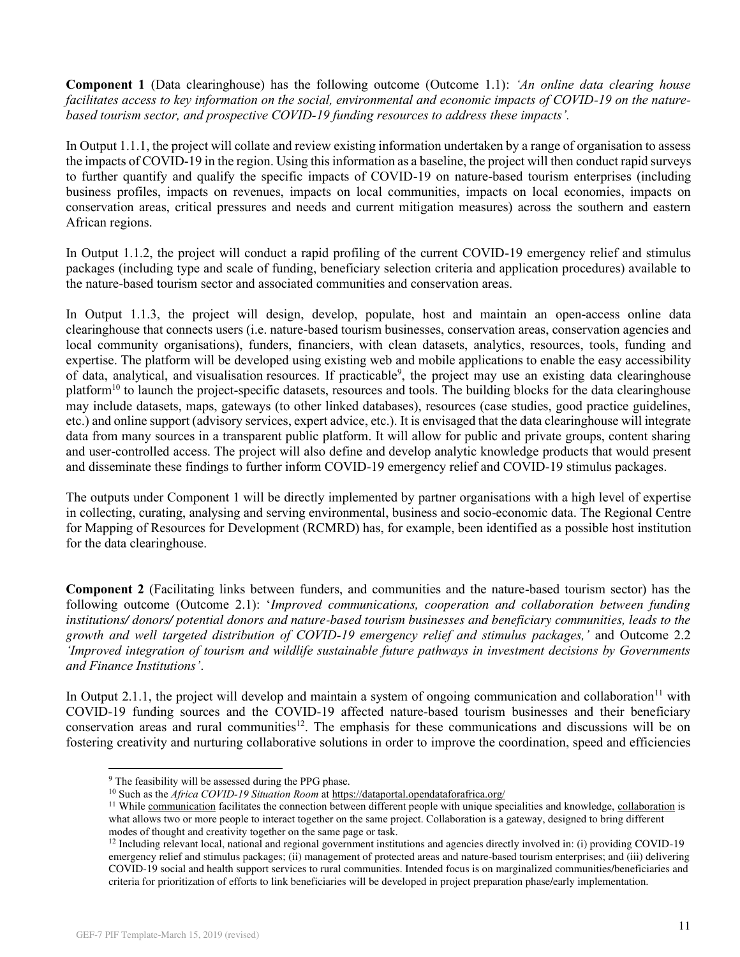**Component 1** (Data clearinghouse) has the following outcome (Outcome 1.1): *'An online data clearing house facilitates access to key information on the social, environmental and economic impacts of COVID-19 on the naturebased tourism sector, and prospective COVID-19 funding resources to address these impacts'.*

In Output 1.1.1, the project will collate and review existing information undertaken by a range of organisation to assess the impacts of COVID-19 in the region. Using this information as a baseline, the project will then conduct rapid surveys to further quantify and qualify the specific impacts of COVID-19 on nature-based tourism enterprises (including business profiles, impacts on revenues, impacts on local communities, impacts on local economies, impacts on conservation areas, critical pressures and needs and current mitigation measures) across the southern and eastern African regions.

In Output 1.1.2, the project will conduct a rapid profiling of the current COVID-19 emergency relief and stimulus packages (including type and scale of funding, beneficiary selection criteria and application procedures) available to the nature-based tourism sector and associated communities and conservation areas.

In Output 1.1.3, the project will design, develop, populate, host and maintain an open-access online data clearinghouse that connects users (i.e. nature-based tourism businesses, conservation areas, conservation agencies and local community organisations), funders, financiers, with clean datasets, analytics, resources, tools, funding and expertise. The platform will be developed using existing web and mobile applications to enable the easy accessibility of data, analytical, and visualisation resources. If practicable<sup>9</sup>, the project may use an existing data clearinghouse platform<sup>10</sup> to launch the project-specific datasets, resources and tools. The building blocks for the data clearinghouse may include datasets, maps, gateways (to other linked databases), resources (case studies, good practice guidelines, etc.) and online support (advisory services, expert advice, etc.). It is envisaged that the data clearinghouse will integrate data from many sources in a transparent public platform. It will allow for public and private groups, content sharing and user-controlled access. The project will also define and develop analytic knowledge products that would present and disseminate these findings to further inform COVID-19 emergency relief and COVID-19 stimulus packages.

The outputs under Component 1 will be directly implemented by partner organisations with a high level of expertise in collecting, curating, analysing and serving environmental, business and socio-economic data. The Regional Centre for Mapping of Resources for Development (RCMRD) has, for example, been identified as a possible host institution for the data clearinghouse.

**Component 2** (Facilitating links between funders, and communities and the nature-based tourism sector) has the following outcome (Outcome 2.1): '*Improved communications, cooperation and collaboration between funding institutions/ donors/ potential donors and nature-based tourism businesses and beneficiary communities, leads to the growth and well targeted distribution of COVID-19 emergency relief and stimulus packages,'* and Outcome 2.2 *'Improved integration of tourism and wildlife sustainable future pathways in investment decisions by Governments and Finance Institutions'*.

In Output 2.1.1, the project will develop and maintain a system of ongoing communication and collaboration<sup>11</sup> with COVID-19 funding sources and the COVID-19 affected nature-based tourism businesses and their beneficiary conservation areas and rural communities<sup>12</sup>. The emphasis for these communications and discussions will be on fostering creativity and nurturing collaborative solutions in order to improve the coordination, speed and efficiencies

<sup>&</sup>lt;sup>9</sup> The feasibility will be assessed during the PPG phase.

<sup>&</sup>lt;sup>10</sup> Such as the *Africa COVID-19 Situation Room* at https://dataportal.opendataforafrica.org/

<sup>&</sup>lt;sup>11</sup> While communication facilitates the connection between different people with unique specialities and knowledge, collaboration is what allows two or more people to interact together on the same project. Collaboration is a gateway, designed to bring different modes of thought and creativity together on the same page or task.

<sup>&</sup>lt;sup>12</sup> Including relevant local, national and regional government institutions and agencies directly involved in: (i) providing COVID-19 emergency relief and stimulus packages; (ii) management of protected areas and nature-based tourism enterprises; and (iii) delivering COVID-19 social and health support services to rural communities. Intended focus is on marginalized communities/beneficiaries and criteria for prioritization of efforts to link beneficiaries will be developed in project preparation phase/early implementation.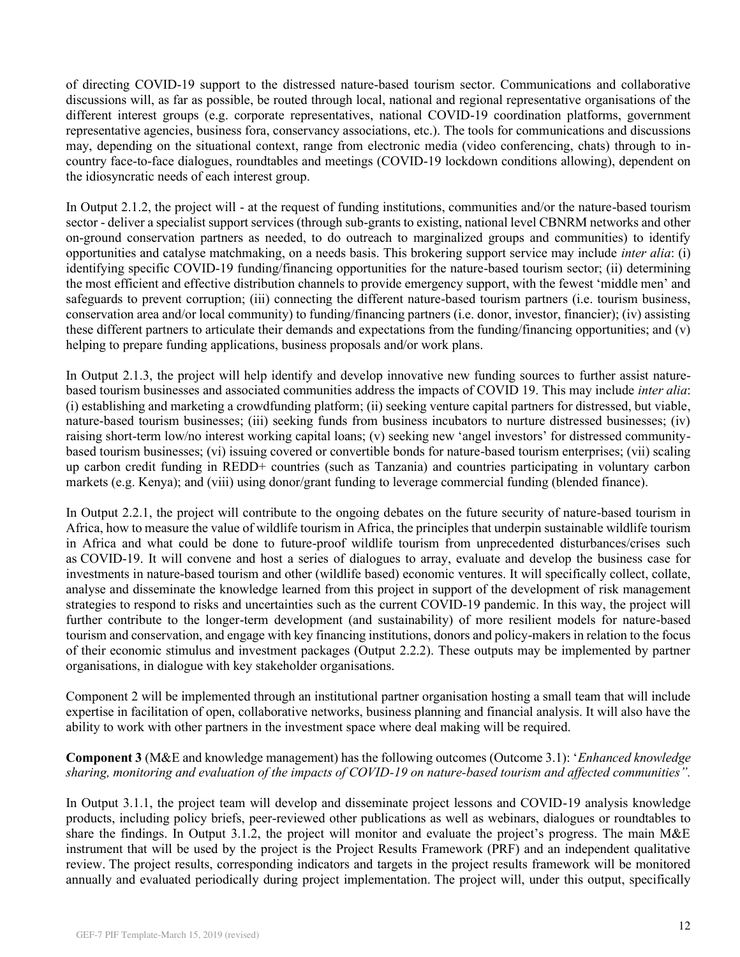of directing COVID-19 support to the distressed nature-based tourism sector. Communications and collaborative discussions will, as far as possible, be routed through local, national and regional representative organisations of the different interest groups (e.g. corporate representatives, national COVID-19 coordination platforms, government representative agencies, business fora, conservancy associations, etc.). The tools for communications and discussions may, depending on the situational context, range from electronic media (video conferencing, chats) through to incountry face-to-face dialogues, roundtables and meetings (COVID-19 lockdown conditions allowing), dependent on the idiosyncratic needs of each interest group.

In Output 2.1.2, the project will - at the request of funding institutions, communities and/or the nature-based tourism sector - deliver a specialist support services (through sub-grants to existing, national level CBNRM networks and other on-ground conservation partners as needed, to do outreach to marginalized groups and communities) to identify opportunities and catalyse matchmaking, on a needs basis. This brokering support service may include *inter alia*: (i) identifying specific COVID-19 funding/financing opportunities for the nature-based tourism sector; (ii) determining the most efficient and effective distribution channels to provide emergency support, with the fewest 'middle men' and safeguards to prevent corruption; (iii) connecting the different nature-based tourism partners (i.e. tourism business, conservation area and/or local community) to funding/financing partners (i.e. donor, investor, financier); (iv) assisting these different partners to articulate their demands and expectations from the funding/financing opportunities; and (v) helping to prepare funding applications, business proposals and/or work plans.

In Output 2.1.3, the project will help identify and develop innovative new funding sources to further assist naturebased tourism businesses and associated communities address the impacts of COVID 19. This may include *inter alia*: (i) establishing and marketing a crowdfunding platform; (ii) seeking venture capital partners for distressed, but viable, nature-based tourism businesses; (iii) seeking funds from business incubators to nurture distressed businesses; (iv) raising short-term low/no interest working capital loans; (v) seeking new 'angel investors' for distressed communitybased tourism businesses; (vi) issuing covered or convertible bonds for nature-based tourism enterprises; (vii) scaling up carbon credit funding in REDD+ countries (such as Tanzania) and countries participating in voluntary carbon markets (e.g. Kenya); and (viii) using donor/grant funding to leverage commercial funding (blended finance).

In Output 2.2.1, the project will contribute to the ongoing debates on the future security of nature-based tourism in Africa, how to measure the value of wildlife tourism in Africa, the principles that underpin sustainable wildlife tourism in Africa and what could be done to future-proof wildlife tourism from unprecedented disturbances/crises such as COVID-19. It will convene and host a series of dialogues to array, evaluate and develop the business case for investments in nature-based tourism and other (wildlife based) economic ventures. It will specifically collect, collate, analyse and disseminate the knowledge learned from this project in support of the development of risk management strategies to respond to risks and uncertainties such as the current COVID-19 pandemic. In this way, the project will further contribute to the longer-term development (and sustainability) of more resilient models for nature-based tourism and conservation, and engage with key financing institutions, donors and policy-makers in relation to the focus of their economic stimulus and investment packages (Output 2.2.2). These outputs may be implemented by partner organisations, in dialogue with key stakeholder organisations.

Component 2 will be implemented through an institutional partner organisation hosting a small team that will include expertise in facilitation of open, collaborative networks, business planning and financial analysis. It will also have the ability to work with other partners in the investment space where deal making will be required.

## **Component 3** (M&E and knowledge management) has the following outcomes (Outcome 3.1): '*Enhanced knowledge sharing, monitoring and evaluation of the impacts of COVID-19 on nature-based tourism and affected communities".*

In Output 3.1.1, the project team will develop and disseminate project lessons and COVID-19 analysis knowledge products, including policy briefs, peer-reviewed other publications as well as webinars, dialogues or roundtables to share the findings. In Output 3.1.2, the project will monitor and evaluate the project's progress. The main M&E instrument that will be used by the project is the Project Results Framework (PRF) and an independent qualitative review. The project results, corresponding indicators and targets in the project results framework will be monitored annually and evaluated periodically during project implementation. The project will, under this output, specifically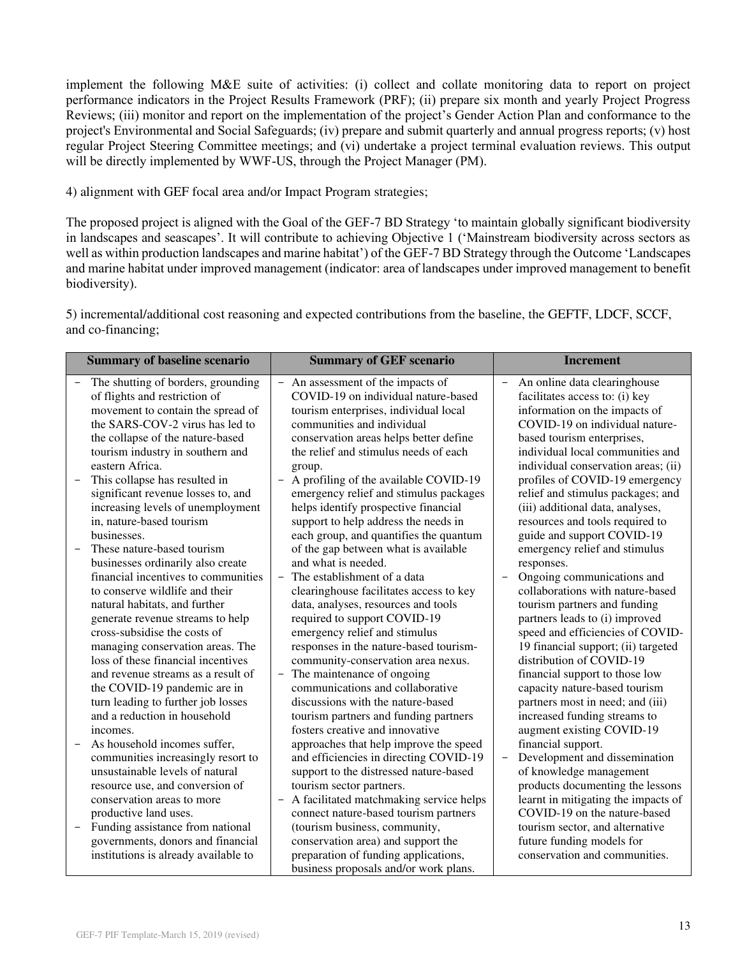implement the following M&E suite of activities: (i) collect and collate monitoring data to report on project performance indicators in the Project Results Framework (PRF); (ii) prepare six month and yearly Project Progress Reviews; (iii) monitor and report on the implementation of the project's Gender Action Plan and conformance to the project's Environmental and Social Safeguards; (iv) prepare and submit quarterly and annual progress reports; (v) host regular Project Steering Committee meetings; and (vi) undertake a project terminal evaluation reviews. This output will be directly implemented by WWF-US, through the Project Manager (PM).

4) alignment with GEF focal area and/or Impact Program strategies;

The proposed project is aligned with the Goal of the GEF-7 BD Strategy 'to maintain globally significant biodiversity in landscapes and seascapes'. It will contribute to achieving Objective 1 ('Mainstream biodiversity across sectors as well as within production landscapes and marine habitat') of the GEF-7 BD Strategy through the Outcome 'Landscapes and marine habitat under improved management (indicator: area of landscapes under improved management to benefit biodiversity).

5) incremental/additional cost reasoning and expected contributions from the baseline, the GEFTF, LDCF, SCCF, and co-financing;

| <b>Summary of baseline scenario</b>                                                                                                                                                                                                                                                                                                                                                                                                                                                                                                                                                                                                                                                                                                                                                                                                                                                                                                                                                                                                        | <b>Summary of GEF scenario</b>                                                                                                                                                                                                                                                                                                                                                                                                                                                                                                                                                                                                                                                                                                                                                                                                                                                                                                                                                                                                                                                                                                                        | <b>Increment</b>                                                                                                                                                                                                                                                                                                                                                                                                                                                                                                                                                                                                                                                                                                                                                                                                                                                                                                                                                                                   |
|--------------------------------------------------------------------------------------------------------------------------------------------------------------------------------------------------------------------------------------------------------------------------------------------------------------------------------------------------------------------------------------------------------------------------------------------------------------------------------------------------------------------------------------------------------------------------------------------------------------------------------------------------------------------------------------------------------------------------------------------------------------------------------------------------------------------------------------------------------------------------------------------------------------------------------------------------------------------------------------------------------------------------------------------|-------------------------------------------------------------------------------------------------------------------------------------------------------------------------------------------------------------------------------------------------------------------------------------------------------------------------------------------------------------------------------------------------------------------------------------------------------------------------------------------------------------------------------------------------------------------------------------------------------------------------------------------------------------------------------------------------------------------------------------------------------------------------------------------------------------------------------------------------------------------------------------------------------------------------------------------------------------------------------------------------------------------------------------------------------------------------------------------------------------------------------------------------------|----------------------------------------------------------------------------------------------------------------------------------------------------------------------------------------------------------------------------------------------------------------------------------------------------------------------------------------------------------------------------------------------------------------------------------------------------------------------------------------------------------------------------------------------------------------------------------------------------------------------------------------------------------------------------------------------------------------------------------------------------------------------------------------------------------------------------------------------------------------------------------------------------------------------------------------------------------------------------------------------------|
| The shutting of borders, grounding<br>$\overline{\phantom{0}}$<br>of flights and restriction of<br>movement to contain the spread of<br>the SARS-COV-2 virus has led to<br>the collapse of the nature-based<br>tourism industry in southern and<br>eastern Africa.<br>This collapse has resulted in<br>significant revenue losses to, and<br>increasing levels of unemployment<br>in, nature-based tourism<br>businesses.<br>These nature-based tourism<br>businesses ordinarily also create<br>financial incentives to communities<br>to conserve wildlife and their<br>natural habitats, and further<br>generate revenue streams to help<br>cross-subsidise the costs of<br>managing conservation areas. The<br>loss of these financial incentives<br>and revenue streams as a result of<br>the COVID-19 pandemic are in<br>turn leading to further job losses<br>and a reduction in household<br>incomes.<br>As household incomes suffer,<br>$\qquad \qquad -$<br>communities increasingly resort to<br>unsustainable levels of natural | An assessment of the impacts of<br>$\qquad \qquad -$<br>COVID-19 on individual nature-based<br>tourism enterprises, individual local<br>communities and individual<br>conservation areas helps better define<br>the relief and stimulus needs of each<br>group.<br>A profiling of the available COVID-19<br>emergency relief and stimulus packages<br>helps identify prospective financial<br>support to help address the needs in<br>each group, and quantifies the quantum<br>of the gap between what is available<br>and what is needed.<br>The establishment of a data<br>$\qquad \qquad -$<br>clearinghouse facilitates access to key<br>data, analyses, resources and tools<br>required to support COVID-19<br>emergency relief and stimulus<br>responses in the nature-based tourism-<br>community-conservation area nexus.<br>- The maintenance of ongoing<br>communications and collaborative<br>discussions with the nature-based<br>tourism partners and funding partners<br>fosters creative and innovative<br>approaches that help improve the speed<br>and efficiencies in directing COVID-19<br>support to the distressed nature-based | An online data clearinghouse<br>$\overline{\phantom{a}}$<br>facilitates access to: (i) key<br>information on the impacts of<br>COVID-19 on individual nature-<br>based tourism enterprises,<br>individual local communities and<br>individual conservation areas; (ii)<br>profiles of COVID-19 emergency<br>relief and stimulus packages; and<br>(iii) additional data, analyses,<br>resources and tools required to<br>guide and support COVID-19<br>emergency relief and stimulus<br>responses.<br>Ongoing communications and<br>collaborations with nature-based<br>tourism partners and funding<br>partners leads to (i) improved<br>speed and efficiencies of COVID-<br>19 financial support; (ii) targeted<br>distribution of COVID-19<br>financial support to those low<br>capacity nature-based tourism<br>partners most in need; and (iii)<br>increased funding streams to<br>augment existing COVID-19<br>financial support.<br>Development and dissemination<br>of knowledge management |
| resource use, and conversion of<br>conservation areas to more                                                                                                                                                                                                                                                                                                                                                                                                                                                                                                                                                                                                                                                                                                                                                                                                                                                                                                                                                                              | tourism sector partners.<br>A facilitated matchmaking service helps<br>$\qquad \qquad -$                                                                                                                                                                                                                                                                                                                                                                                                                                                                                                                                                                                                                                                                                                                                                                                                                                                                                                                                                                                                                                                              | products documenting the lessons<br>learnt in mitigating the impacts of                                                                                                                                                                                                                                                                                                                                                                                                                                                                                                                                                                                                                                                                                                                                                                                                                                                                                                                            |
| productive land uses.                                                                                                                                                                                                                                                                                                                                                                                                                                                                                                                                                                                                                                                                                                                                                                                                                                                                                                                                                                                                                      | connect nature-based tourism partners                                                                                                                                                                                                                                                                                                                                                                                                                                                                                                                                                                                                                                                                                                                                                                                                                                                                                                                                                                                                                                                                                                                 | COVID-19 on the nature-based                                                                                                                                                                                                                                                                                                                                                                                                                                                                                                                                                                                                                                                                                                                                                                                                                                                                                                                                                                       |
| Funding assistance from national<br>$\overline{\phantom{a}}$                                                                                                                                                                                                                                                                                                                                                                                                                                                                                                                                                                                                                                                                                                                                                                                                                                                                                                                                                                               | (tourism business, community,                                                                                                                                                                                                                                                                                                                                                                                                                                                                                                                                                                                                                                                                                                                                                                                                                                                                                                                                                                                                                                                                                                                         | tourism sector, and alternative                                                                                                                                                                                                                                                                                                                                                                                                                                                                                                                                                                                                                                                                                                                                                                                                                                                                                                                                                                    |
| governments, donors and financial<br>institutions is already available to                                                                                                                                                                                                                                                                                                                                                                                                                                                                                                                                                                                                                                                                                                                                                                                                                                                                                                                                                                  | conservation area) and support the<br>preparation of funding applications,<br>business proposals and/or work plans.                                                                                                                                                                                                                                                                                                                                                                                                                                                                                                                                                                                                                                                                                                                                                                                                                                                                                                                                                                                                                                   | future funding models for<br>conservation and communities.                                                                                                                                                                                                                                                                                                                                                                                                                                                                                                                                                                                                                                                                                                                                                                                                                                                                                                                                         |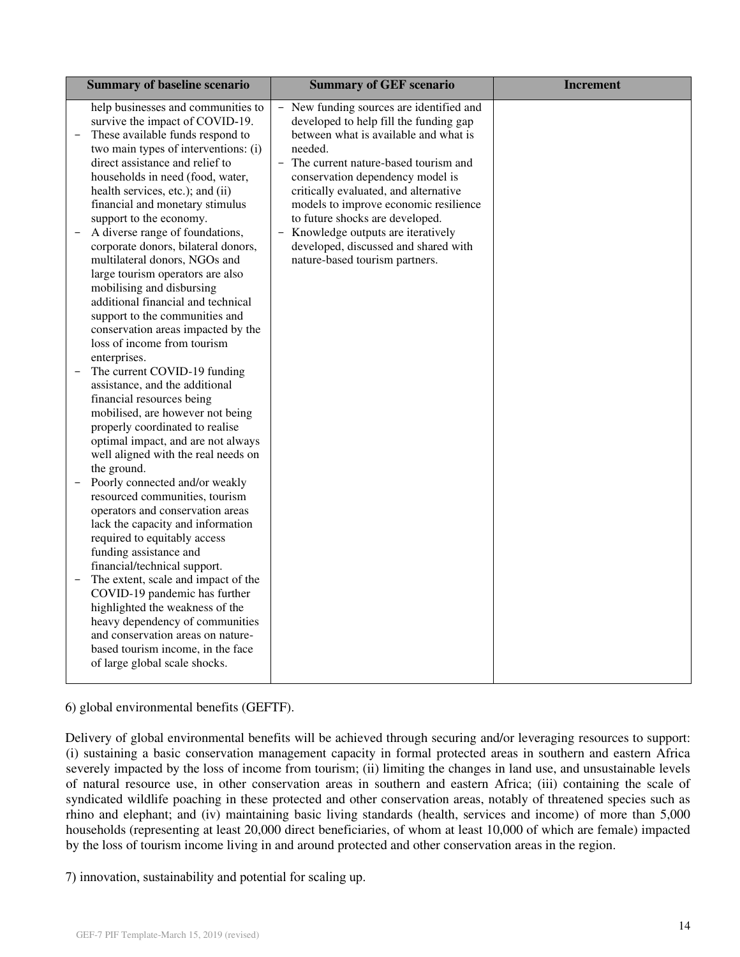| <b>Summary of baseline scenario</b>                                                                                                                                                                                                                                                                                                                                                                                                                                                                                                                                                                                                                 | <b>Summary of GEF scenario</b>                                                                                                                                                                                                                                                                                                                                                                                                                         | <b>Increment</b> |
|-----------------------------------------------------------------------------------------------------------------------------------------------------------------------------------------------------------------------------------------------------------------------------------------------------------------------------------------------------------------------------------------------------------------------------------------------------------------------------------------------------------------------------------------------------------------------------------------------------------------------------------------------------|--------------------------------------------------------------------------------------------------------------------------------------------------------------------------------------------------------------------------------------------------------------------------------------------------------------------------------------------------------------------------------------------------------------------------------------------------------|------------------|
| help businesses and communities to<br>survive the impact of COVID-19.<br>These available funds respond to<br>two main types of interventions: (i)<br>direct assistance and relief to<br>households in need (food, water,<br>health services, etc.); and (ii)<br>financial and monetary stimulus<br>support to the economy.<br>A diverse range of foundations,<br>corporate donors, bilateral donors,<br>multilateral donors, NGOs and<br>large tourism operators are also<br>mobilising and disbursing<br>additional financial and technical<br>support to the communities and<br>conservation areas impacted by the<br>loss of income from tourism | New funding sources are identified and<br>developed to help fill the funding gap<br>between what is available and what is<br>needed.<br>The current nature-based tourism and<br>conservation dependency model is<br>critically evaluated, and alternative<br>models to improve economic resilience<br>to future shocks are developed.<br>- Knowledge outputs are iteratively<br>developed, discussed and shared with<br>nature-based tourism partners. |                  |
| enterprises.<br>The current COVID-19 funding<br>assistance, and the additional<br>financial resources being<br>mobilised, are however not being<br>properly coordinated to realise<br>optimal impact, and are not always<br>well aligned with the real needs on<br>the ground.<br>Poorly connected and/or weakly<br>resourced communities, tourism<br>operators and conservation areas<br>lack the capacity and information                                                                                                                                                                                                                         |                                                                                                                                                                                                                                                                                                                                                                                                                                                        |                  |
| required to equitably access<br>funding assistance and<br>financial/technical support.<br>The extent, scale and impact of the<br>COVID-19 pandemic has further<br>highlighted the weakness of the<br>heavy dependency of communities<br>and conservation areas on nature-<br>based tourism income, in the face<br>of large global scale shocks.                                                                                                                                                                                                                                                                                                     |                                                                                                                                                                                                                                                                                                                                                                                                                                                        |                  |

6) global environmental benefits (GEFTF).

Delivery of global environmental benefits will be achieved through securing and/or leveraging resources to support: (i) sustaining a basic conservation management capacity in formal protected areas in southern and eastern Africa severely impacted by the loss of income from tourism; (ii) limiting the changes in land use, and unsustainable levels of natural resource use, in other conservation areas in southern and eastern Africa; (iii) containing the scale of syndicated wildlife poaching in these protected and other conservation areas, notably of threatened species such as rhino and elephant; and (iv) maintaining basic living standards (health, services and income) of more than 5,000 households (representing at least 20,000 direct beneficiaries, of whom at least 10,000 of which are female) impacted by the loss of tourism income living in and around protected and other conservation areas in the region.

7) innovation, sustainability and potential for scaling up.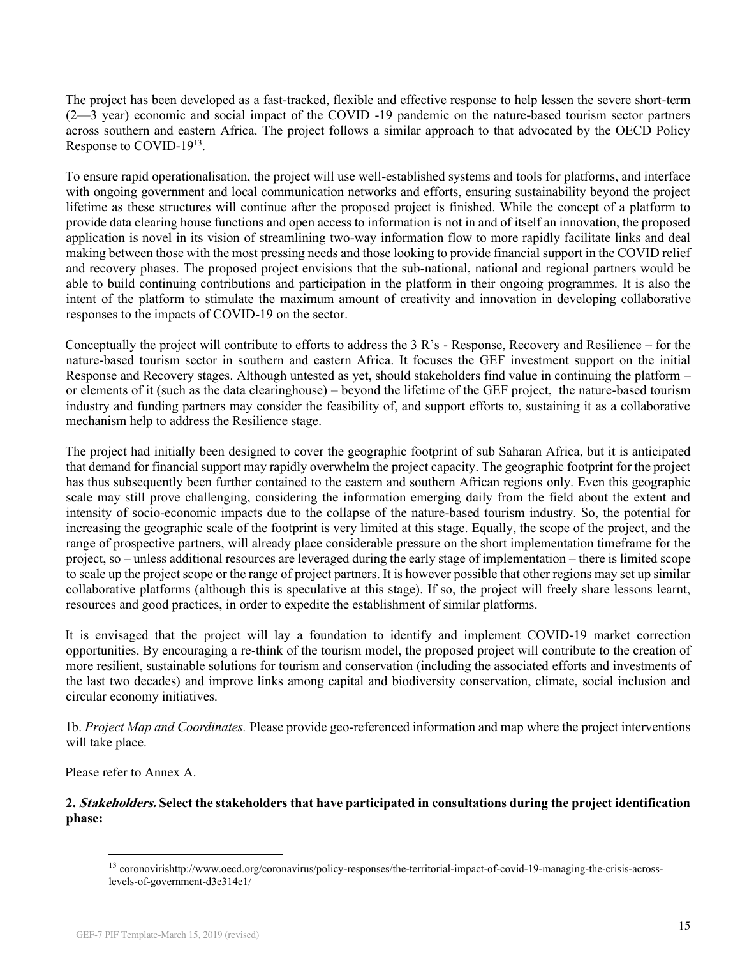The project has been developed as a fast-tracked, flexible and effective response to help lessen the severe short-term (2—3 year) economic and social impact of the COVID -19 pandemic on the nature-based tourism sector partners across southern and eastern Africa. The project follows a similar approach to that advocated by the OECD Policy Response to COVID-19<sup>13</sup>.

To ensure rapid operationalisation, the project will use well-established systems and tools for platforms, and interface with ongoing government and local communication networks and efforts, ensuring sustainability beyond the project lifetime as these structures will continue after the proposed project is finished. While the concept of a platform to provide data clearing house functions and open access to information is not in and of itself an innovation, the proposed application is novel in its vision of streamlining two-way information flow to more rapidly facilitate links and deal making between those with the most pressing needs and those looking to provide financial support in the COVID relief and recovery phases. The proposed project envisions that the sub-national, national and regional partners would be able to build continuing contributions and participation in the platform in their ongoing programmes. It is also the intent of the platform to stimulate the maximum amount of creativity and innovation in developing collaborative responses to the impacts of COVID-19 on the sector.

Conceptually the project will contribute to efforts to address the 3 R's - Response, Recovery and Resilience – for the nature-based tourism sector in southern and eastern Africa. It focuses the GEF investment support on the initial Response and Recovery stages. Although untested as yet, should stakeholders find value in continuing the platform – or elements of it (such as the data clearinghouse) – beyond the lifetime of the GEF project, the nature-based tourism industry and funding partners may consider the feasibility of, and support efforts to, sustaining it as a collaborative mechanism help to address the Resilience stage.

The project had initially been designed to cover the geographic footprint of sub Saharan Africa, but it is anticipated that demand for financial support may rapidly overwhelm the project capacity. The geographic footprint for the project has thus subsequently been further contained to the eastern and southern African regions only. Even this geographic scale may still prove challenging, considering the information emerging daily from the field about the extent and intensity of socio-economic impacts due to the collapse of the nature-based tourism industry. So, the potential for increasing the geographic scale of the footprint is very limited at this stage. Equally, the scope of the project, and the range of prospective partners, will already place considerable pressure on the short implementation timeframe for the project, so – unless additional resources are leveraged during the early stage of implementation – there is limited scope to scale up the project scope or the range of project partners. It is however possible that other regions may set up similar collaborative platforms (although this is speculative at this stage). If so, the project will freely share lessons learnt, resources and good practices, in order to expedite the establishment of similar platforms.

It is envisaged that the project will lay a foundation to identify and implement COVID-19 market correction opportunities. By encouraging a re-think of the tourism model, the proposed project will contribute to the creation of more resilient, sustainable solutions for tourism and conservation (including the associated efforts and investments of the last two decades) and improve links among capital and biodiversity conservation, climate, social inclusion and circular economy initiatives.

1b. *Project Map and Coordinates.* Please provide geo-referenced information and map where the project interventions will take place.

Please refer to Annex A.

## **2. Stakeholders. Select the stakeholders that have participated in consultations during the project identification phase:**

<sup>13</sup> coronovirishttp://www.oecd.org/coronavirus/policy-responses/the-territorial-impact-of-covid-19-managing-the-crisis-acrosslevels-of-government-d3e314e1/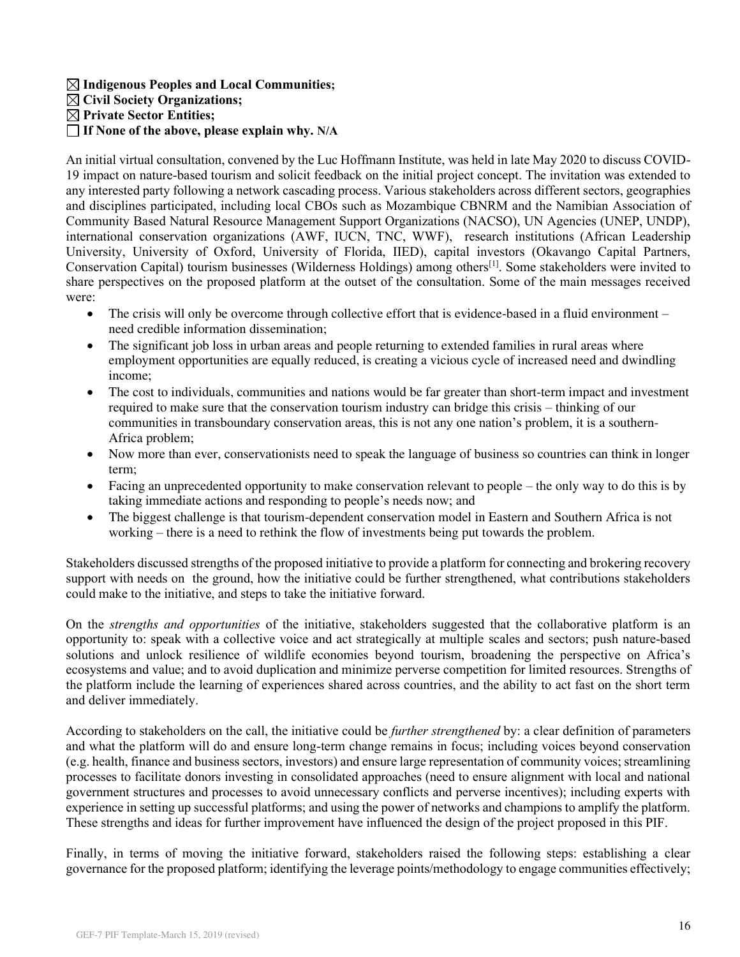**Indigenous Peoples and Local Communities; Civil Society Organizations; Private Sector Entities; If None of the above, please explain why. N/A**

An initial virtual consultation, convened by the Luc Hoffmann Institute, was held in late May 2020 to discuss COVID-19 impact on nature-based tourism and solicit feedback on the initial project concept. The invitation was extended to any interested party following a network cascading process. Various stakeholders across different sectors, geographies and disciplines participated, including local CBOs such as Mozambique CBNRM and the Namibian Association of Community Based Natural Resource Management Support Organizations (NACSO), UN Agencies (UNEP, UNDP), international conservation organizations (AWF, IUCN, TNC, WWF), research institutions (African Leadership University, University of Oxford, University of Florida, IIED), capital investors (Okavango Capital Partners, Conservation Capital) tourism businesses (Wilderness Holdings) among others[1]. Some stakeholders were invited to share perspectives on the proposed platform at the outset of the consultation. Some of the main messages received were:

- The crisis will only be overcome through collective effort that is evidence-based in a fluid environment  $$ need credible information dissemination;
- The significant job loss in urban areas and people returning to extended families in rural areas where employment opportunities are equally reduced, is creating a vicious cycle of increased need and dwindling income;
- The cost to individuals, communities and nations would be far greater than short-term impact and investment required to make sure that the conservation tourism industry can bridge this crisis – thinking of our communities in transboundary conservation areas, this is not any one nation's problem, it is a southern-Africa problem;
- Now more than ever, conservationists need to speak the language of business so countries can think in longer term;
- Facing an unprecedented opportunity to make conservation relevant to people the only way to do this is by taking immediate actions and responding to people's needs now; and
- The biggest challenge is that tourism-dependent conservation model in Eastern and Southern Africa is not working – there is a need to rethink the flow of investments being put towards the problem.

Stakeholders discussed strengths of the proposed initiative to provide a platform for connecting and brokering recovery support with needs on the ground, how the initiative could be further strengthened, what contributions stakeholders could make to the initiative, and steps to take the initiative forward.

On the *strengths and opportunities* of the initiative, stakeholders suggested that the collaborative platform is an opportunity to: speak with a collective voice and act strategically at multiple scales and sectors; push nature-based solutions and unlock resilience of wildlife economies beyond tourism, broadening the perspective on Africa's ecosystems and value; and to avoid duplication and minimize perverse competition for limited resources. Strengths of the platform include the learning of experiences shared across countries, and the ability to act fast on the short term and deliver immediately.

According to stakeholders on the call, the initiative could be *further strengthened* by: a clear definition of parameters and what the platform will do and ensure long-term change remains in focus; including voices beyond conservation (e.g. health, finance and business sectors, investors) and ensure large representation of community voices; streamlining processes to facilitate donors investing in consolidated approaches (need to ensure alignment with local and national government structures and processes to avoid unnecessary conflicts and perverse incentives); including experts with experience in setting up successful platforms; and using the power of networks and champions to amplify the platform. These strengths and ideas for further improvement have influenced the design of the project proposed in this PIF.

Finally, in terms of moving the initiative forward, stakeholders raised the following steps: establishing a clear governance for the proposed platform; identifying the leverage points/methodology to engage communities effectively;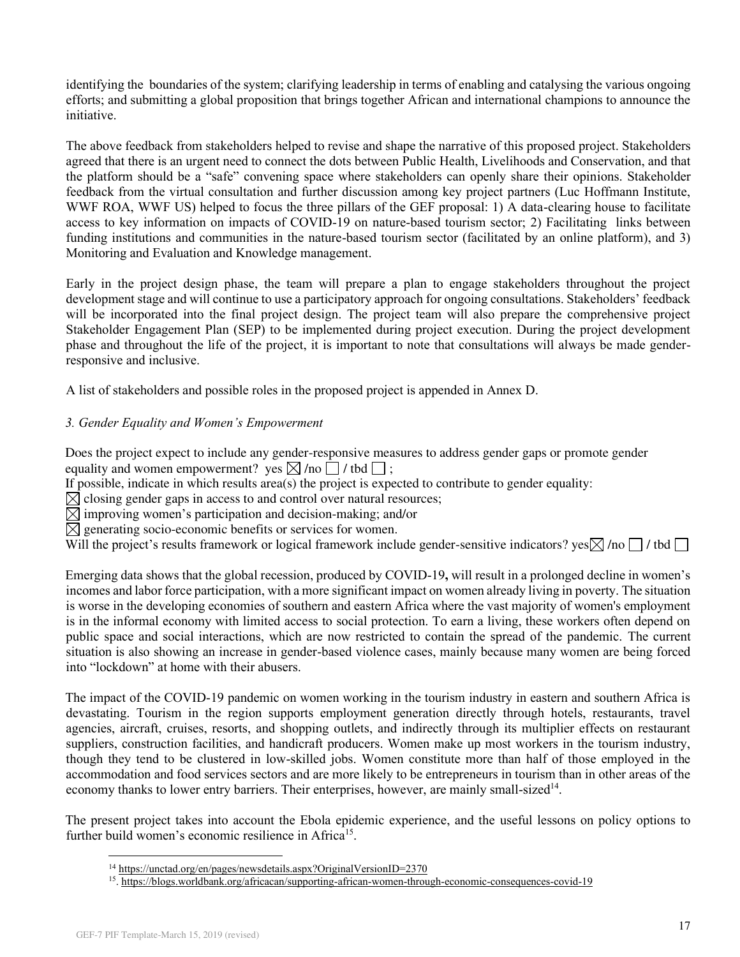identifying the boundaries of the system; clarifying leadership in terms of enabling and catalysing the various ongoing efforts; and submitting a global proposition that brings together African and international champions to announce the initiative.

The above feedback from stakeholders helped to revise and shape the narrative of this proposed project. Stakeholders agreed that there is an urgent need to connect the dots between Public Health, Livelihoods and Conservation, and that the platform should be a "safe" convening space where stakeholders can openly share their opinions. Stakeholder feedback from the virtual consultation and further discussion among key project partners (Luc Hoffmann Institute, WWF ROA, WWF US) helped to focus the three pillars of the GEF proposal: 1) A data-clearing house to facilitate access to key information on impacts of COVID-19 on nature-based tourism sector; 2) Facilitating links between funding institutions and communities in the nature-based tourism sector (facilitated by an online platform), and 3) Monitoring and Evaluation and Knowledge management.

Early in the project design phase, the team will prepare a plan to engage stakeholders throughout the project development stage and will continue to use a participatory approach for ongoing consultations. Stakeholders' feedback will be incorporated into the final project design. The project team will also prepare the comprehensive project Stakeholder Engagement Plan (SEP) to be implemented during project execution. During the project development phase and throughout the life of the project, it is important to note that consultations will always be made genderresponsive and inclusive.

A list of stakeholders and possible roles in the proposed project is appended in Annex D.

## *3. Gender Equality and Women's Empowerment*

Does the project expect to include any gender-responsive measures to address gender gaps or promote gender equality and women empowerment? yes  $\boxtimes$  /no  $\Box$  / tbd  $\Box$ :

If possible, indicate in which results area(s) the project is expected to contribute to gender equality:

 $\boxtimes$  closing gender gaps in access to and control over natural resources;

 $\boxtimes$  improving women's participation and decision-making; and/or

 $\boxtimes$  generating socio-economic benefits or services for women.

Will the project's results framework or logical framework include gender-sensitive indicators? yes  $\boxtimes$  /no  $\Box$  / tbd  $\Box$ 

Emerging data shows that the global recession, produced by COVID-19**,** will result in a prolonged decline in women's incomes and labor force participation, with a more significant impact on women already living in poverty. The situation is worse in the developing economies of southern and eastern Africa where the vast majority of women's employment is in the informal economy with limited access to social protection. To earn a living, these workers often depend on public space and social interactions, which are now restricted to contain the spread of the pandemic. The current situation is also showing an increase in gender-based violence cases, mainly because many women are being forced into "lockdown" at home with their abusers.

The impact of the COVID-19 pandemic on women working in the tourism industry in eastern and southern Africa is devastating. Tourism in the region supports employment generation directly through hotels, restaurants, travel agencies, aircraft, cruises, resorts, and shopping outlets, and indirectly through its multiplier effects on restaurant suppliers, construction facilities, and handicraft producers. Women make up most workers in the tourism industry, though they tend to be clustered in low-skilled jobs. Women constitute more than half of those employed in the accommodation and food services sectors and are more likely to be entrepreneurs in tourism than in other areas of the economy thanks to lower entry barriers. Their enterprises, however, are mainly small-sized<sup>14</sup>.

The present project takes into account the Ebola epidemic experience, and the useful lessons on policy options to further build women's economic resilience in Africa<sup>15</sup>.

<sup>&</sup>lt;sup>14</sup> https://unctad.org/en/pages/newsdetails.aspx?OriginalVersionID=2370

<sup>&</sup>lt;sup>15</sup>[. https://blogs.worldbank.org/africacan/supporting-african-women-through-economic-consequences-covid-19](https://blogs.worldbank.org/africacan/supporting-african-women-through-economic-consequences-covid-19)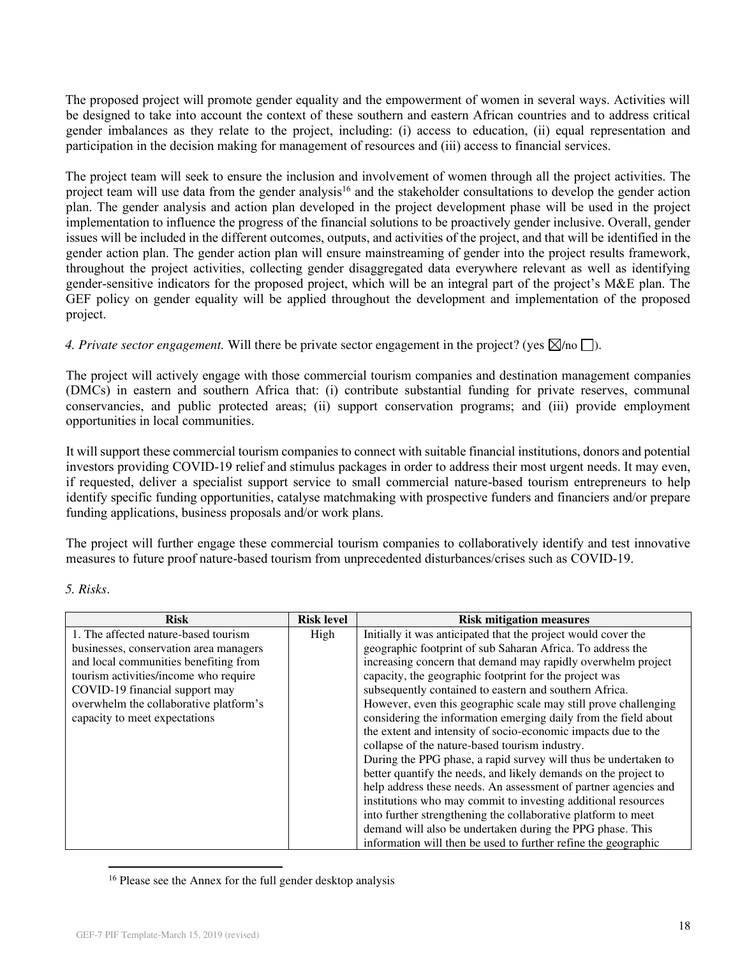The proposed project will promote gender equality and the empowerment of women in several ways. Activities will be designed to take into account the context of these southern and eastern African countries and to address critical gender imbalances as they relate to the project, including: (i) access to education, (ii) equal representation and participation in the decision making for management of resources and (iii) access to financial services.

The project team will seek to ensure the inclusion and involvement of women through all the project activities. The project team will use data from the gender analysis<sup>16</sup> and the stakeholder consultations to develop the gender action plan. The gender analysis and action plan developed in the project development phase will be used in the project implementation to influence the progress of the financial solutions to be proactively gender inclusive. Overall, gender issues will be included in the different outcomes, outputs, and activities of the project, and that will be identified in the gender action plan. The gender action plan will ensure mainstreaming of gender into the project results framework, throughout the project activities, collecting gender disaggregated data everywhere relevant as well as identifying gender-sensitive indicators for the proposed project, which will be an integral part of the project's M&E plan. The GEF policy on gender equality will be applied throughout the development and implementation of the proposed project.

*4. Private sector engagement.* Will there be private sector engagement in the project? (yes  $\boxtimes$ /no  $\Box$ ).

The project will actively engage with those commercial tourism companies and destination management companies (DMCs) in eastern and southern Africa that: (i) contribute substantial funding for private reserves, communal conservancies, and public protected areas; (ii) support conservation programs; and (iii) provide employment opportunities in local communities.

It will support these commercial tourism companies to connect with suitable financial institutions, donors and potential investors providing COVID-19 relief and stimulus packages in order to address their most urgent needs. It may even, if requested, deliver a specialist support service to small commercial nature-based tourism entrepreneurs to help identify specific funding opportunities, catalyse matchmaking with prospective funders and financiers and/or prepare funding applications, business proposals and/or work plans.

The project will further engage these commercial tourism companies to collaboratively identify and test innovative measures to future proof nature-based tourism from unprecedented disturbances/crises such as COVID-19.

| <b>Risks</b> |
|--------------|
|--------------|

| <b>Risk</b>                            | <b>Risk level</b> | <b>Risk mitigation measures</b>                                 |
|----------------------------------------|-------------------|-----------------------------------------------------------------|
| 1. The affected nature-based tourism   | High              | Initially it was anticipated that the project would cover the   |
| businesses, conservation area managers |                   | geographic footprint of sub Saharan Africa. To address the      |
| and local communities benefiting from  |                   | increasing concern that demand may rapidly overwhelm project    |
| tourism activities/income who require  |                   | capacity, the geographic footprint for the project was          |
| COVID-19 financial support may         |                   | subsequently contained to eastern and southern Africa.          |
| overwhelm the collaborative platform's |                   | However, even this geographic scale may still prove challenging |
| capacity to meet expectations          |                   | considering the information emerging daily from the field about |
|                                        |                   | the extent and intensity of socio-economic impacts due to the   |
|                                        |                   | collapse of the nature-based tourism industry.                  |
|                                        |                   | During the PPG phase, a rapid survey will thus be undertaken to |
|                                        |                   | better quantify the needs, and likely demands on the project to |
|                                        |                   | help address these needs. An assessment of partner agencies and |
|                                        |                   | institutions who may commit to investing additional resources   |
|                                        |                   | into further strengthening the collaborative platform to meet   |
|                                        |                   | demand will also be undertaken during the PPG phase. This       |
|                                        |                   | information will then be used to further refine the geographic  |

<sup>16</sup> Please see the Annex for the full gender desktop analysis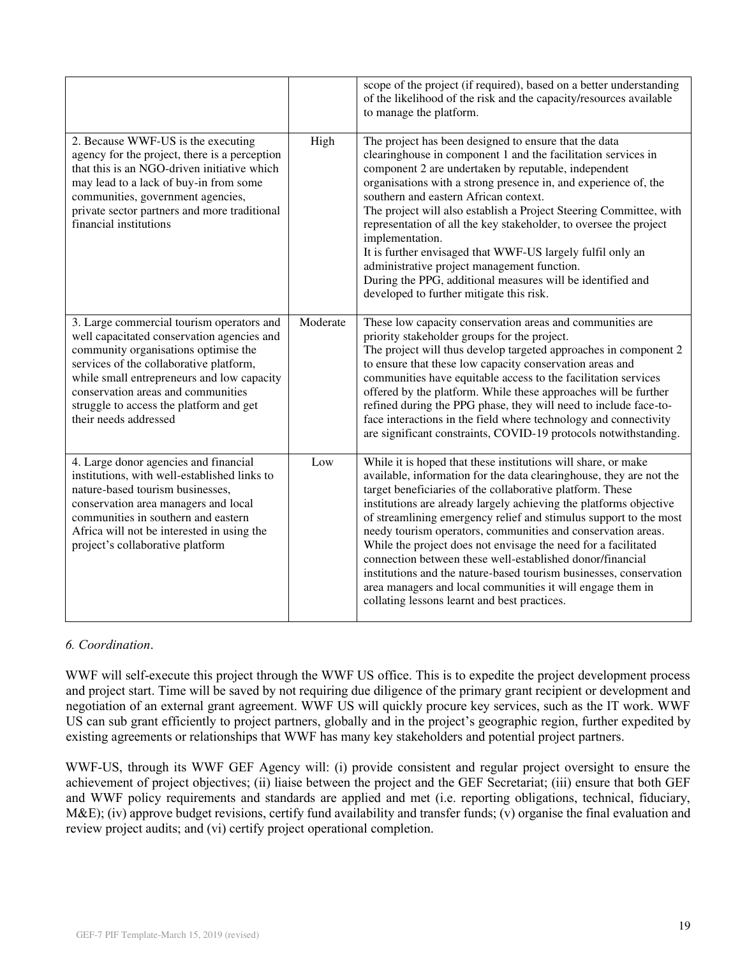|                                                                                                                                                                                                                                                                                                                                    |          | scope of the project (if required), based on a better understanding<br>of the likelihood of the risk and the capacity/resources available<br>to manage the platform.                                                                                                                                                                                                                                                                                                                                                                                                                                                                                                                                                            |
|------------------------------------------------------------------------------------------------------------------------------------------------------------------------------------------------------------------------------------------------------------------------------------------------------------------------------------|----------|---------------------------------------------------------------------------------------------------------------------------------------------------------------------------------------------------------------------------------------------------------------------------------------------------------------------------------------------------------------------------------------------------------------------------------------------------------------------------------------------------------------------------------------------------------------------------------------------------------------------------------------------------------------------------------------------------------------------------------|
| 2. Because WWF-US is the executing<br>agency for the project, there is a perception<br>that this is an NGO-driven initiative which<br>may lead to a lack of buy-in from some<br>communities, government agencies,<br>private sector partners and more traditional<br>financial institutions                                        | High     | The project has been designed to ensure that the data<br>clearinghouse in component 1 and the facilitation services in<br>component 2 are undertaken by reputable, independent<br>organisations with a strong presence in, and experience of, the<br>southern and eastern African context.<br>The project will also establish a Project Steering Committee, with<br>representation of all the key stakeholder, to oversee the project<br>implementation.<br>It is further envisaged that WWF-US largely fulfil only an<br>administrative project management function.<br>During the PPG, additional measures will be identified and<br>developed to further mitigate this risk.                                                 |
| 3. Large commercial tourism operators and<br>well capacitated conservation agencies and<br>community organisations optimise the<br>services of the collaborative platform,<br>while small entrepreneurs and low capacity<br>conservation areas and communities<br>struggle to access the platform and get<br>their needs addressed | Moderate | These low capacity conservation areas and communities are<br>priority stakeholder groups for the project.<br>The project will thus develop targeted approaches in component 2<br>to ensure that these low capacity conservation areas and<br>communities have equitable access to the facilitation services<br>offered by the platform. While these approaches will be further<br>refined during the PPG phase, they will need to include face-to-<br>face interactions in the field where technology and connectivity<br>are significant constraints, COVID-19 protocols notwithstanding.                                                                                                                                      |
| 4. Large donor agencies and financial<br>institutions, with well-established links to<br>nature-based tourism businesses,<br>conservation area managers and local<br>communities in southern and eastern<br>Africa will not be interested in using the<br>project's collaborative platform                                         | Low      | While it is hoped that these institutions will share, or make<br>available, information for the data clearinghouse, they are not the<br>target beneficiaries of the collaborative platform. These<br>institutions are already largely achieving the platforms objective<br>of streamlining emergency relief and stimulus support to the most<br>needy tourism operators, communities and conservation areas.<br>While the project does not envisage the need for a facilitated<br>connection between these well-established donor/financial<br>institutions and the nature-based tourism businesses, conservation<br>area managers and local communities it will engage them in<br>collating lessons learnt and best practices. |

## *6. Coordination*.

WWF will self-execute this project through the WWF US office. This is to expedite the project development process and project start. Time will be saved by not requiring due diligence of the primary grant recipient or development and negotiation of an external grant agreement. WWF US will quickly procure key services, such as the IT work. WWF US can sub grant efficiently to project partners, globally and in the project's geographic region, further expedited by existing agreements or relationships that WWF has many key stakeholders and potential project partners.

WWF-US, through its WWF GEF Agency will: (i) provide consistent and regular project oversight to ensure the achievement of project objectives; (ii) liaise between the project and the GEF Secretariat; (iii) ensure that both GEF and WWF policy requirements and standards are applied and met (i.e. reporting obligations, technical, fiduciary, M&E); (iv) approve budget revisions, certify fund availability and transfer funds; (v) organise the final evaluation and review project audits; and (vi) certify project operational completion.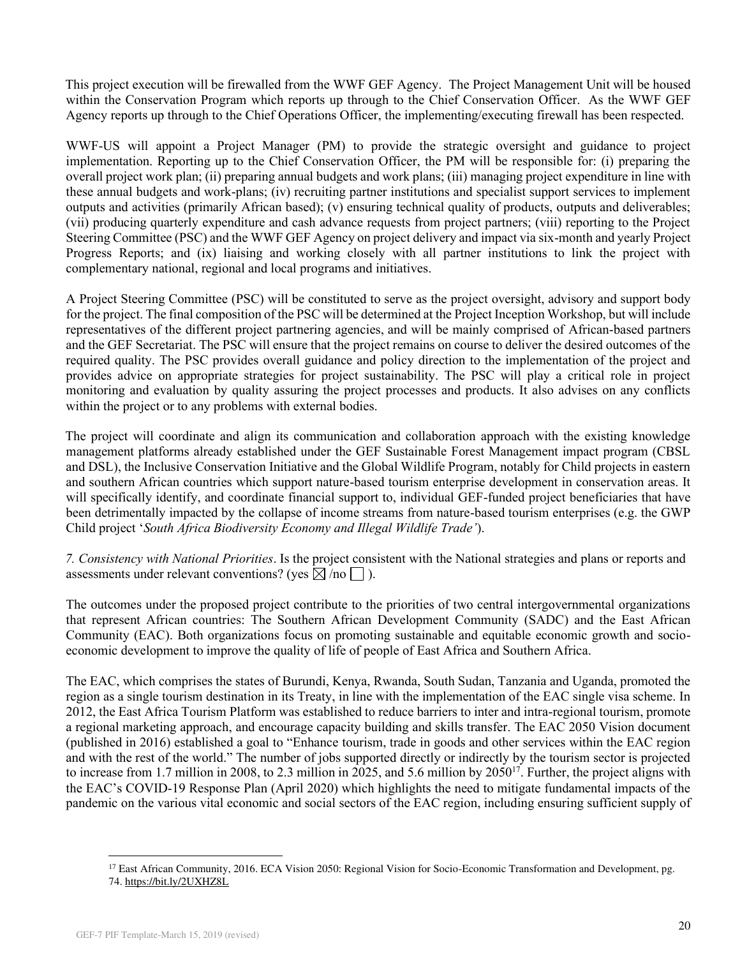This project execution will be firewalled from the WWF GEF Agency. The Project Management Unit will be housed within the Conservation Program which reports up through to the Chief Conservation Officer. As the WWF GEF Agency reports up through to the Chief Operations Officer, the implementing/executing firewall has been respected.

WWF-US will appoint a Project Manager (PM) to provide the strategic oversight and guidance to project implementation. Reporting up to the Chief Conservation Officer, the PM will be responsible for: (i) preparing the overall project work plan; (ii) preparing annual budgets and work plans; (iii) managing project expenditure in line with these annual budgets and work-plans; (iv) recruiting partner institutions and specialist support services to implement outputs and activities (primarily African based); (v) ensuring technical quality of products, outputs and deliverables; (vii) producing quarterly expenditure and cash advance requests from project partners; (viii) reporting to the Project Steering Committee (PSC) and the WWF GEF Agency on project delivery and impact via six-month and yearly Project Progress Reports; and (ix) liaising and working closely with all partner institutions to link the project with complementary national, regional and local programs and initiatives.

A Project Steering Committee (PSC) will be constituted to serve as the project oversight, advisory and support body for the project. The final composition of the PSC will be determined at the Project Inception Workshop, but will include representatives of the different project partnering agencies, and will be mainly comprised of African-based partners and the GEF Secretariat. The PSC will ensure that the project remains on course to deliver the desired outcomes of the required quality. The PSC provides overall guidance and policy direction to the implementation of the project and provides advice on appropriate strategies for project sustainability. The PSC will play a critical role in project monitoring and evaluation by quality assuring the project processes and products. It also advises on any conflicts within the project or to any problems with external bodies.

The project will coordinate and align its communication and collaboration approach with the existing knowledge management platforms already established under the GEF Sustainable Forest Management impact program (CBSL and DSL), the Inclusive Conservation Initiative and the Global Wildlife Program, notably for Child projects in eastern and southern African countries which support nature-based tourism enterprise development in conservation areas. It will specifically identify, and coordinate financial support to, individual GEF-funded project beneficiaries that have been detrimentally impacted by the collapse of income streams from nature-based tourism enterprises (e.g. the GWP Child project '*South Africa Biodiversity Economy and Illegal Wildlife Trade'*).

*7. Consistency with National Priorities*. Is the project consistent with the National strategies and plans or reports and assessments under relevant conventions? (yes  $\boxtimes$  /no  $\Box$ ).

The outcomes under the proposed project contribute to the priorities of two central intergovernmental organizations that represent African countries: The Southern African Development Community (SADC) and the East African Community (EAC). Both organizations focus on promoting sustainable and equitable economic growth and socioeconomic development to improve the quality of life of people of East Africa and Southern Africa.

The EAC, which comprises the states of Burundi, Kenya, Rwanda, South Sudan, Tanzania and Uganda, promoted the region as a single tourism destination in its Treaty, in line with the implementation of the EAC single visa scheme. In 2012, the East Africa Tourism Platform was established to reduce barriers to inter and intra-regional tourism, promote a regional marketing approach, and encourage capacity building and skills transfer. The EAC 2050 Vision document (published in 2016) established a goal to "Enhance tourism, trade in goods and other services within the EAC region and with the rest of the world." The number of jobs supported directly or indirectly by the tourism sector is projected to increase from 1.7 million in 2008, to 2.3 million in 2025, and 5.6 million by  $2050^{17}$ . Further, the project aligns with the EAC's COVID-19 Response Plan (April 2020) which highlights the need to mitigate fundamental impacts of the pandemic on the various vital economic and social sectors of the EAC region, including ensuring sufficient supply of

<sup>&</sup>lt;sup>17</sup> East African Community, 2016. ECA Vision 2050: Regional Vision for Socio-Economic Transformation and Development, pg. 74[. https://bit.ly/2UXHZ8L](https://bit.ly/2UXHZ8L)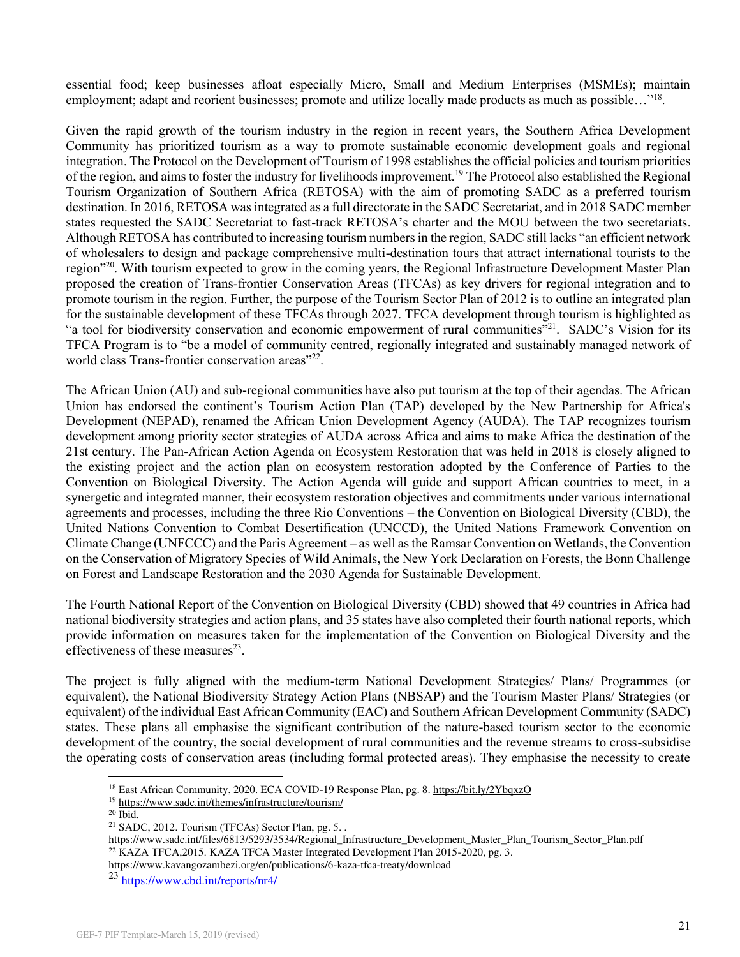essential food; keep businesses afloat especially Micro, Small and Medium Enterprises (MSMEs); maintain employment; adapt and reorient businesses; promote and utilize locally made products as much as possible..."<sup>18</sup>.

Given the rapid growth of the tourism industry in the region in recent years, the Southern Africa Development Community has prioritized tourism as a way to promote sustainable economic development goals and regional integration. The Protocol on the Development of Tourism of 1998 establishes the official policies and tourism priorities of the region, and aims to foster the industry for livelihoods improvement.<sup>19</sup> The Protocol also established the Regional Tourism Organization of Southern Africa (RETOSA) with the aim of promoting SADC as a preferred tourism destination. In 2016, RETOSA was integrated as a full directorate in the SADC Secretariat, and in 2018 SADC member states requested the SADC Secretariat to fast-track RETOSA's charter and the MOU between the two secretariats. Although RETOSA has contributed to increasing tourism numbers in the region, SADC still lacks "an efficient network of wholesalers to design and package comprehensive multi-destination tours that attract international tourists to the region"<sup>20</sup>. With tourism expected to grow in the coming years, the Regional Infrastructure Development Master Plan proposed the creation of Trans-frontier Conservation Areas (TFCAs) as key drivers for regional integration and to promote tourism in the region. Further, the purpose of the Tourism Sector Plan of 2012 is to outline an integrated plan for the sustainable development of these TFCAs through 2027. TFCA development through tourism is highlighted as "a tool for biodiversity conservation and economic empowerment of rural communities"<sup>21</sup>. SADC's Vision for its TFCA Program is to "be a model of community centred, regionally integrated and sustainably managed network of world class Trans-frontier conservation areas"<sup>22</sup>.

The African Union (AU) and sub-regional communities have also put tourism at the top of their agendas. The African Union has endorsed the continent's Tourism Action Plan (TAP) developed by the New Partnership for Africa's Development (NEPAD), renamed the African Union Development Agency (AUDA). The TAP recognizes tourism development among priority sector strategies of AUDA across Africa and aims to make Africa the destination of the 21st century. The Pan-African Action Agenda on Ecosystem Restoration that was held in 2018 is closely aligned to the existing project and the action plan on ecosystem restoration adopted by the Conference of Parties to the Convention on Biological Diversity. The Action Agenda will guide and support African countries to meet, in a synergetic and integrated manner, their ecosystem restoration objectives and commitments under various international agreements and processes, including the three Rio Conventions – the Convention on Biological Diversity (CBD), the United Nations Convention to Combat Desertification (UNCCD), the United Nations Framework Convention on Climate Change (UNFCCC) and the Paris Agreement – as well as the Ramsar Convention on Wetlands, the Convention on the Conservation of Migratory Species of Wild Animals, the New York Declaration on Forests, the Bonn Challenge on Forest and Landscape Restoration and the 2030 Agenda for Sustainable Development.

The Fourth National Report of the Convention on Biological Diversity (CBD) showed that 49 countries in Africa had national biodiversity strategies and action plans, and 35 states have also completed their fourth national reports, which provide information on measures taken for the implementation of the Convention on Biological Diversity and the effectiveness of these measures $^{23}$ .

The project is fully aligned with the medium-term National Development Strategies/ Plans/ Programmes (or equivalent), the National Biodiversity Strategy Action Plans (NBSAP) and the Tourism Master Plans/ Strategies (or equivalent) of the individual East African Community (EAC) and Southern African Development Community (SADC) states. These plans all emphasise the significant contribution of the nature-based tourism sector to the economic development of the country, the social development of rural communities and the revenue streams to cross-subsidise the operating costs of conservation areas (including formal protected areas). They emphasise the necessity to create

<sup>&</sup>lt;sup>18</sup> East African Community, 2020. ECA COVID-19 Response Plan, pg. 8. https://bit.ly/2YbqxzO

<sup>19</sup><https://www.sadc.int/themes/infrastructure/tourism/>

 $20$  Ibid.

<sup>21</sup> SADC, 2012. Tourism (TFCAs) Sector Plan, pg. 5. .

[https://www.sadc.int/files/6813/5293/3534/Regional\\_Infrastructure\\_Development\\_Master\\_Plan\\_Tourism\\_Sector\\_Plan.pdf](https://www.sadc.int/files/6813/5293/3534/Regional_Infrastructure_Development_Master_Plan_Tourism_Sector_Plan.pdf)  <sup>22</sup> KAZA TFCA, 2015. KAZA TFCA Master Integrated Development Plan 2015-2020, pg. 3.

<https://www.kavangozambezi.org/en/publications/6-kaza-tfca-treaty/download>

<sup>23</sup> <https://www.cbd.int/reports/nr4/>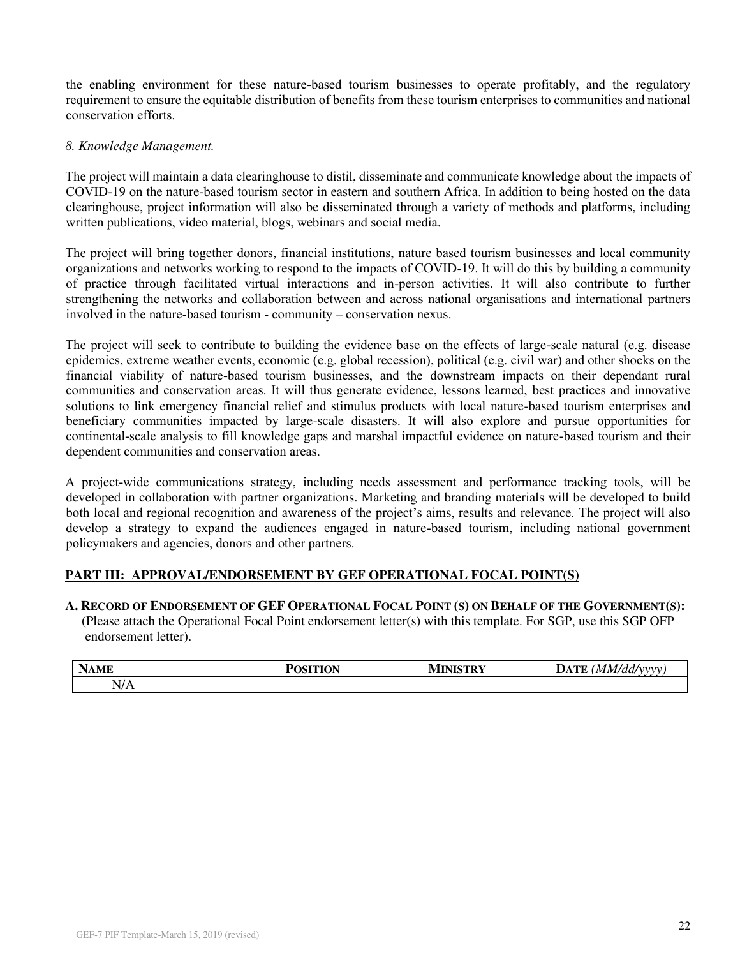the enabling environment for these nature-based tourism businesses to operate profitably, and the regulatory requirement to ensure the equitable distribution of benefits from these tourism enterprises to communities and national conservation efforts.

## *8. Knowledge Management.*

The project will maintain a data clearinghouse to distil, disseminate and communicate knowledge about the impacts of COVID-19 on the nature-based tourism sector in eastern and southern Africa. In addition to being hosted on the data clearinghouse, project information will also be disseminated through a variety of methods and platforms, including written publications, video material, blogs, webinars and social media.

The project will bring together donors, financial institutions, nature based tourism businesses and local community organizations and networks working to respond to the impacts of COVID-19. It will do this by building a community of practice through facilitated virtual interactions and in-person activities. It will also contribute to further strengthening the networks and collaboration between and across national organisations and international partners involved in the nature-based tourism - community – conservation nexus.

The project will seek to contribute to building the evidence base on the effects of large-scale natural (e.g. disease epidemics, extreme weather events, economic (e.g. global recession), political (e.g. civil war) and other shocks on the financial viability of nature-based tourism businesses, and the downstream impacts on their dependant rural communities and conservation areas. It will thus generate evidence, lessons learned, best practices and innovative solutions to link emergency financial relief and stimulus products with local nature-based tourism enterprises and beneficiary communities impacted by large-scale disasters. It will also explore and pursue opportunities for continental-scale analysis to fill knowledge gaps and marshal impactful evidence on nature-based tourism and their dependent communities and conservation areas.

A project-wide communications strategy, including needs assessment and performance tracking tools, will be developed in collaboration with partner organizations. Marketing and branding materials will be developed to build both local and regional recognition and awareness of the project's aims, results and relevance. The project will also develop a strategy to expand the audiences engaged in nature-based tourism, including national government policymakers and agencies, donors and other partners.

## **PART III: APPROVAL/ENDORSEMENT BY GEF OPERATIONAL FOCAL POINT(S)**

## A. RECORD OF ENDORSEMENT OF GEF OPERATIONAL FOCAL POINT (S) ON BEHALF OF THE GOVERNMENT(S):

(Please attach the Operational Focal Point endorsement letter(s) with this template. For SGP, use this SGP OFP endorsement letter).

| $\rightarrow$<br>NAME | SITION<br>- | <b>MINISTRY</b> | $\sim$ $\sim$ $\sim$ $\sim$<br>DATE<br>'MM/dd/vvvv<br>$- - - -$ |
|-----------------------|-------------|-----------------|-----------------------------------------------------------------|
| N/A                   |             |                 |                                                                 |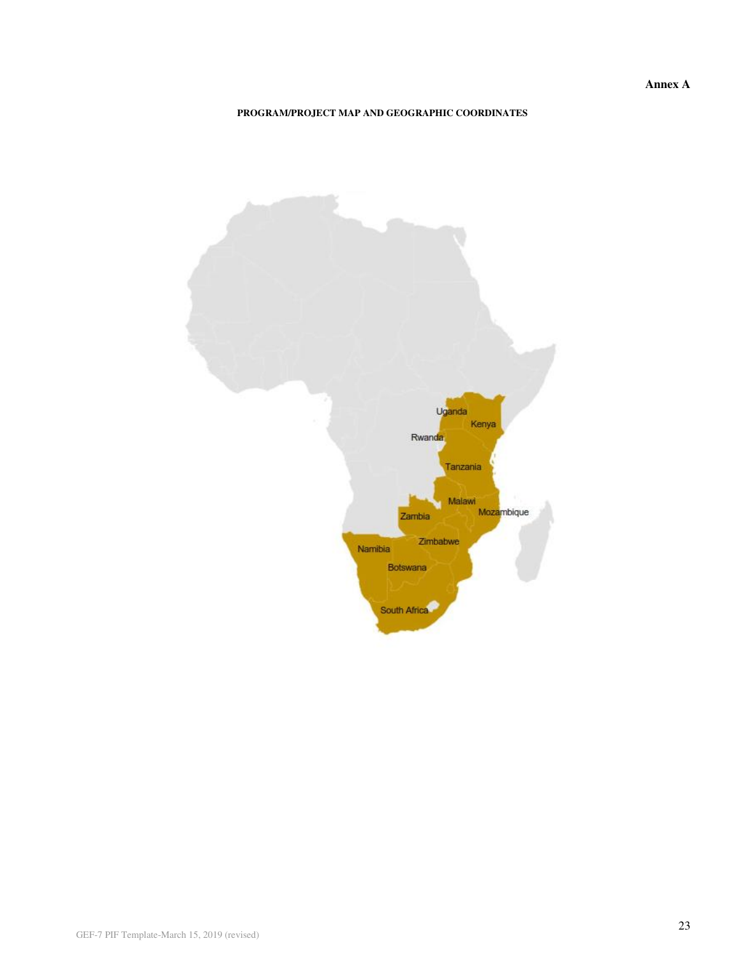**Annex A** 

#### **PROGRAM/PROJECT MAP AND GEOGRAPHIC COORDINATES**

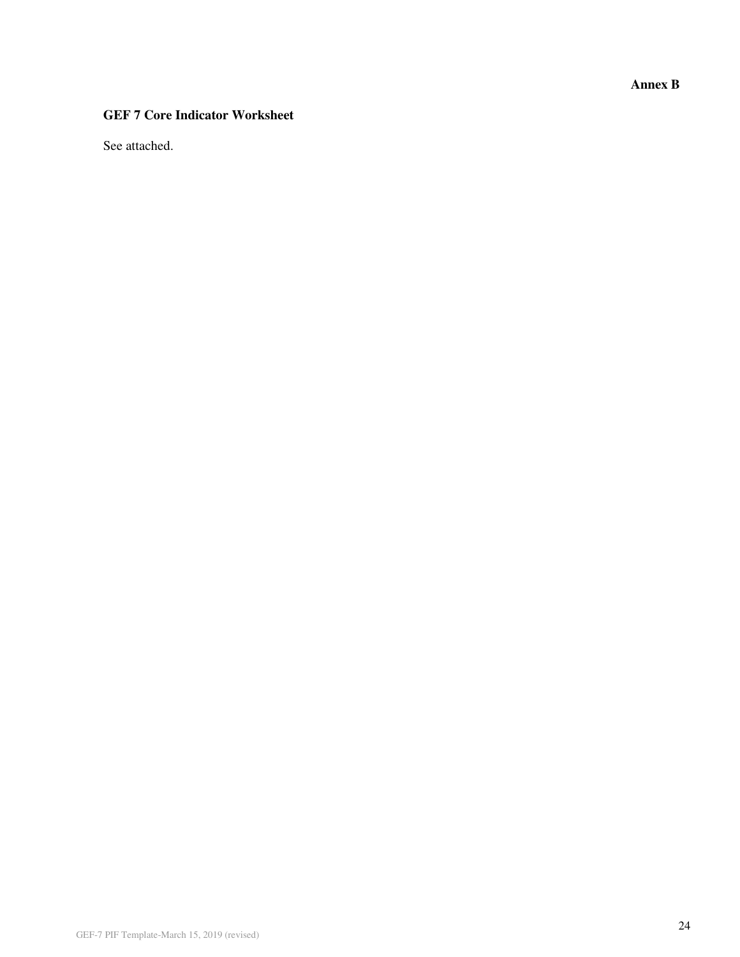**Annex B** 

## **GEF 7 Core Indicator Worksheet**

See attached.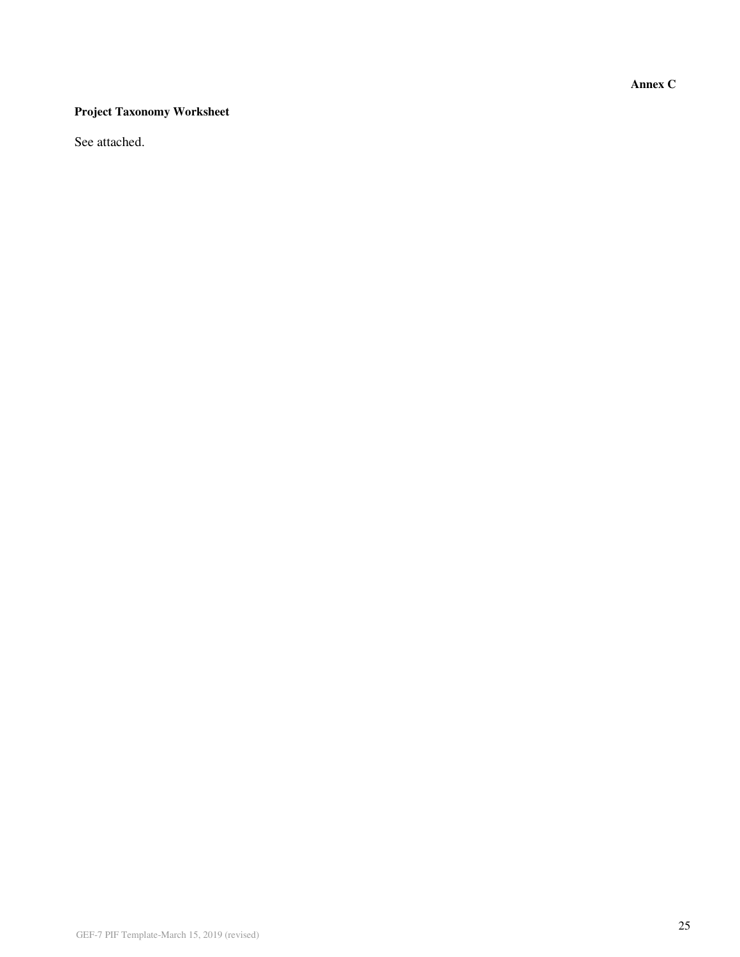**Annex C** 

## **Project Taxonomy Worksheet**

See attached.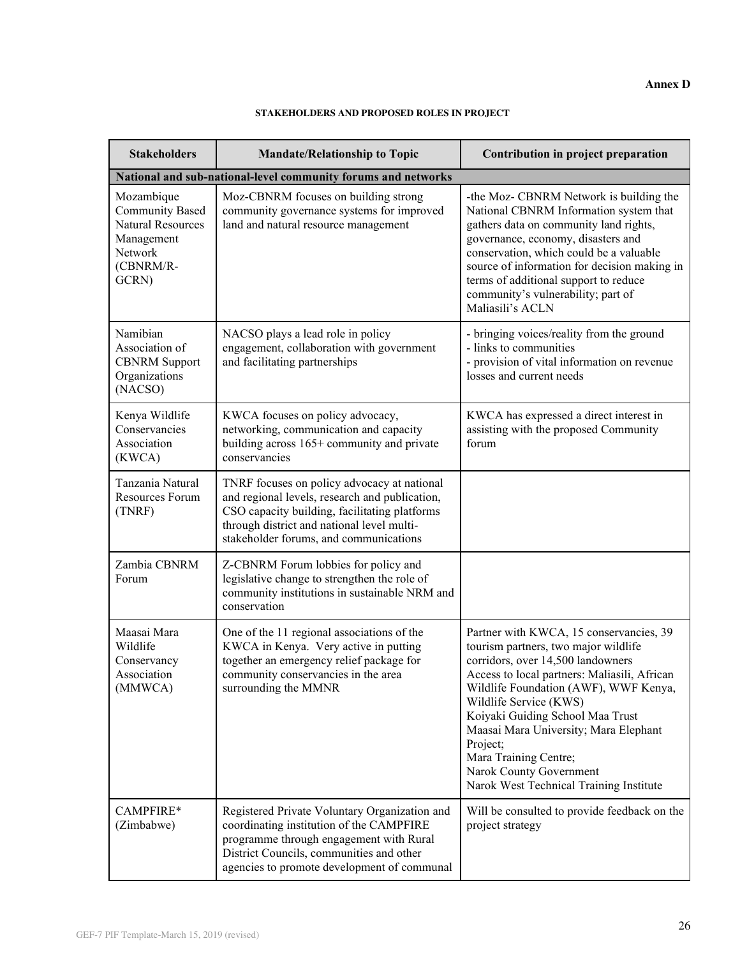#### **Annex D**

#### **STAKEHOLDERS AND PROPOSED ROLES IN PROJECT**

| <b>Stakeholders</b>                                                                                             | <b>Mandate/Relationship to Topic</b>                                                                                                                                                                                                   | Contribution in project preparation                                                                                                                                                                                                                                                                                                                                                                                             |  |  |  |
|-----------------------------------------------------------------------------------------------------------------|----------------------------------------------------------------------------------------------------------------------------------------------------------------------------------------------------------------------------------------|---------------------------------------------------------------------------------------------------------------------------------------------------------------------------------------------------------------------------------------------------------------------------------------------------------------------------------------------------------------------------------------------------------------------------------|--|--|--|
| National and sub-national-level community forums and networks                                                   |                                                                                                                                                                                                                                        |                                                                                                                                                                                                                                                                                                                                                                                                                                 |  |  |  |
| Mozambique<br><b>Community Based</b><br><b>Natural Resources</b><br>Management<br>Network<br>(CBNRM/R-<br>GCRN) | Moz-CBNRM focuses on building strong<br>community governance systems for improved<br>land and natural resource management                                                                                                              | -the Moz- CBNRM Network is building the<br>National CBNRM Information system that<br>gathers data on community land rights,<br>governance, economy, disasters and<br>conservation, which could be a valuable<br>source of information for decision making in<br>terms of additional support to reduce<br>community's vulnerability; part of<br>Maliasili's ACLN                                                                 |  |  |  |
| Namibian<br>Association of<br><b>CBNRM</b> Support<br>Organizations<br>(NACSO)                                  | NACSO plays a lead role in policy<br>engagement, collaboration with government<br>and facilitating partnerships                                                                                                                        | - bringing voices/reality from the ground<br>- links to communities<br>- provision of vital information on revenue<br>losses and current needs                                                                                                                                                                                                                                                                                  |  |  |  |
| Kenya Wildlife<br>Conservancies<br>Association<br>(KWCA)                                                        | KWCA focuses on policy advocacy,<br>networking, communication and capacity<br>building across 165+ community and private<br>conservancies                                                                                              | KWCA has expressed a direct interest in<br>assisting with the proposed Community<br>forum                                                                                                                                                                                                                                                                                                                                       |  |  |  |
| Tanzania Natural<br>Resources Forum<br>(TNRF)                                                                   | TNRF focuses on policy advocacy at national<br>and regional levels, research and publication,<br>CSO capacity building, facilitating platforms<br>through district and national level multi-<br>stakeholder forums, and communications |                                                                                                                                                                                                                                                                                                                                                                                                                                 |  |  |  |
| Zambia CBNRM<br>Forum                                                                                           | Z-CBNRM Forum lobbies for policy and<br>legislative change to strengthen the role of<br>community institutions in sustainable NRM and<br>conservation                                                                                  |                                                                                                                                                                                                                                                                                                                                                                                                                                 |  |  |  |
| Maasai Mara<br>Wildlife<br>Conservancy<br>Association<br>(MMWCA)                                                | One of the 11 regional associations of the<br>KWCA in Kenya. Very active in putting<br>together an emergency relief package for<br>community conservancies in the area<br>surrounding the MMNR                                         | Partner with KWCA, 15 conservancies, 39<br>tourism partners, two major wildlife<br>corridors, over 14,500 landowners<br>Access to local partners: Maliasili, African<br>Wildlife Foundation (AWF), WWF Kenya,<br>Wildlife Service (KWS)<br>Koiyaki Guiding School Maa Trust<br>Maasai Mara University; Mara Elephant<br>Project;<br>Mara Training Centre;<br>Narok County Government<br>Narok West Technical Training Institute |  |  |  |
| CAMPFIRE*<br>(Zimbabwe)                                                                                         | Registered Private Voluntary Organization and<br>coordinating institution of the CAMPFIRE<br>programme through engagement with Rural<br>District Councils, communities and other<br>agencies to promote development of communal        | Will be consulted to provide feedback on the<br>project strategy                                                                                                                                                                                                                                                                                                                                                                |  |  |  |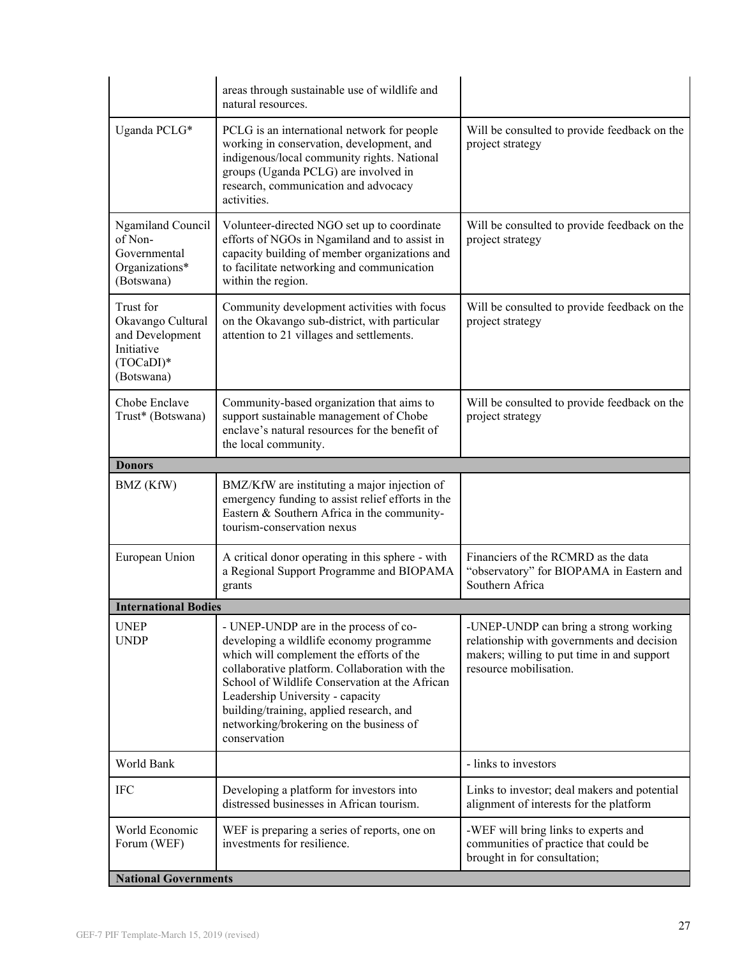|                                                                                            | areas through sustainable use of wildlife and<br>natural resources.                                                                                                                                                                                                                                                                                                         |                                                                                                                                                             |
|--------------------------------------------------------------------------------------------|-----------------------------------------------------------------------------------------------------------------------------------------------------------------------------------------------------------------------------------------------------------------------------------------------------------------------------------------------------------------------------|-------------------------------------------------------------------------------------------------------------------------------------------------------------|
| Uganda PCLG*                                                                               | PCLG is an international network for people<br>working in conservation, development, and<br>indigenous/local community rights. National<br>groups (Uganda PCLG) are involved in<br>research, communication and advocacy<br>activities.                                                                                                                                      | Will be consulted to provide feedback on the<br>project strategy                                                                                            |
| <b>Ngamiland Council</b><br>of Non-<br>Governmental<br>Organizations*<br>(Botswana)        | Volunteer-directed NGO set up to coordinate<br>efforts of NGOs in Ngamiland and to assist in<br>capacity building of member organizations and<br>to facilitate networking and communication<br>within the region.                                                                                                                                                           | Will be consulted to provide feedback on the<br>project strategy                                                                                            |
| Trust for<br>Okavango Cultural<br>and Development<br>Initiative<br>(TOCaDI)*<br>(Botswana) | Community development activities with focus<br>on the Okavango sub-district, with particular<br>attention to 21 villages and settlements.                                                                                                                                                                                                                                   | Will be consulted to provide feedback on the<br>project strategy                                                                                            |
| Chobe Enclave<br>Trust* (Botswana)                                                         | Community-based organization that aims to<br>support sustainable management of Chobe<br>enclave's natural resources for the benefit of<br>the local community.                                                                                                                                                                                                              | Will be consulted to provide feedback on the<br>project strategy                                                                                            |
| <b>Donors</b>                                                                              |                                                                                                                                                                                                                                                                                                                                                                             |                                                                                                                                                             |
| BMZ (KfW)                                                                                  | BMZ/KfW are instituting a major injection of<br>emergency funding to assist relief efforts in the<br>Eastern & Southern Africa in the community-<br>tourism-conservation nexus                                                                                                                                                                                              |                                                                                                                                                             |
| European Union                                                                             | A critical donor operating in this sphere - with<br>a Regional Support Programme and BIOPAMA<br>grants                                                                                                                                                                                                                                                                      | Financiers of the RCMRD as the data<br>"observatory" for BIOPAMA in Eastern and<br>Southern Africa                                                          |
| <b>International Bodies</b>                                                                |                                                                                                                                                                                                                                                                                                                                                                             |                                                                                                                                                             |
| <b>UNEP</b><br><b>UNDP</b>                                                                 | - UNEP-UNDP are in the process of co-<br>developing a wildlife economy programme<br>which will complement the efforts of the<br>collaborative platform. Collaboration with the<br>School of Wildlife Conservation at the African<br>Leadership University - capacity<br>building/training, applied research, and<br>networking/brokering on the business of<br>conservation | -UNEP-UNDP can bring a strong working<br>relationship with governments and decision<br>makers; willing to put time in and support<br>resource mobilisation. |
| World Bank                                                                                 |                                                                                                                                                                                                                                                                                                                                                                             | - links to investors                                                                                                                                        |
| <b>IFC</b>                                                                                 | Developing a platform for investors into<br>distressed businesses in African tourism.                                                                                                                                                                                                                                                                                       | Links to investor; deal makers and potential<br>alignment of interests for the platform                                                                     |
| World Economic<br>Forum (WEF)                                                              | WEF is preparing a series of reports, one on<br>investments for resilience.                                                                                                                                                                                                                                                                                                 | -WEF will bring links to experts and<br>communities of practice that could be<br>brought in for consultation;                                               |
| <b>National Governments</b>                                                                |                                                                                                                                                                                                                                                                                                                                                                             |                                                                                                                                                             |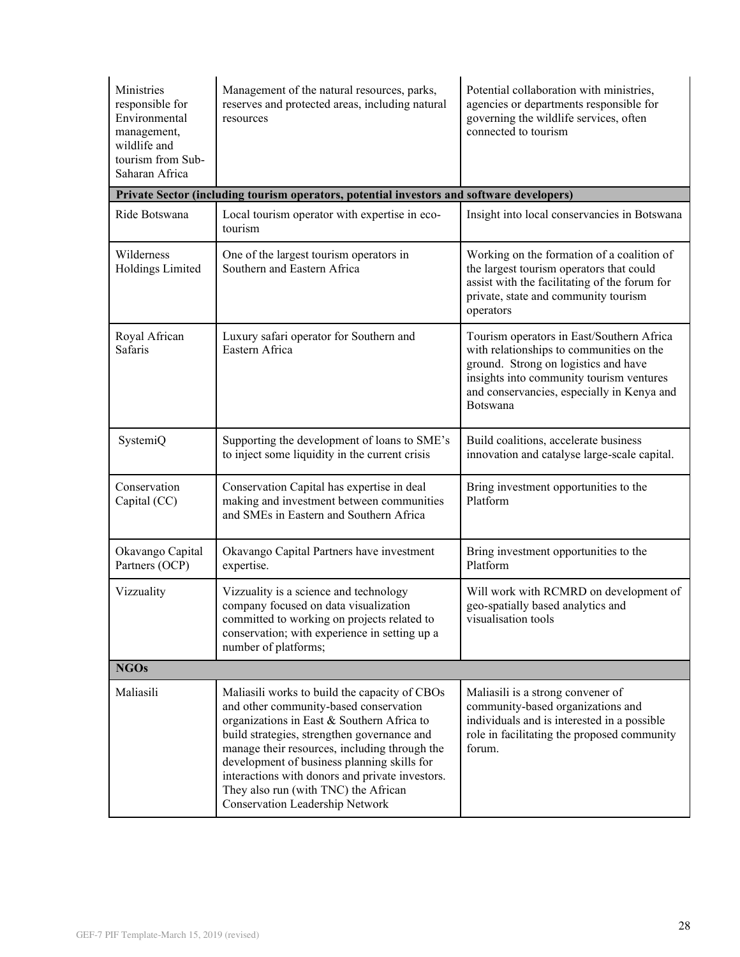| Ministries<br>responsible for<br>Environmental<br>management,<br>wildlife and<br>tourism from Sub-<br>Saharan Africa | Management of the natural resources, parks,<br>reserves and protected areas, including natural<br>resources                                                                                                                                                                                                                                                                                                        | Potential collaboration with ministries,<br>agencies or departments responsible for<br>governing the wildlife services, often<br>connected to tourism                                                                               |  |  |
|----------------------------------------------------------------------------------------------------------------------|--------------------------------------------------------------------------------------------------------------------------------------------------------------------------------------------------------------------------------------------------------------------------------------------------------------------------------------------------------------------------------------------------------------------|-------------------------------------------------------------------------------------------------------------------------------------------------------------------------------------------------------------------------------------|--|--|
|                                                                                                                      | Private Sector (including tourism operators, potential investors and software developers)                                                                                                                                                                                                                                                                                                                          |                                                                                                                                                                                                                                     |  |  |
| Ride Botswana                                                                                                        | Local tourism operator with expertise in eco-<br>tourism                                                                                                                                                                                                                                                                                                                                                           | Insight into local conservancies in Botswana                                                                                                                                                                                        |  |  |
| Wilderness<br>Holdings Limited                                                                                       | One of the largest tourism operators in<br>Southern and Eastern Africa                                                                                                                                                                                                                                                                                                                                             | Working on the formation of a coalition of<br>the largest tourism operators that could<br>assist with the facilitating of the forum for<br>private, state and community tourism<br>operators                                        |  |  |
| Royal African<br>Safaris                                                                                             | Luxury safari operator for Southern and<br>Eastern Africa                                                                                                                                                                                                                                                                                                                                                          | Tourism operators in East/Southern Africa<br>with relationships to communities on the<br>ground. Strong on logistics and have<br>insights into community tourism ventures<br>and conservancies, especially in Kenya and<br>Botswana |  |  |
| SystemiQ                                                                                                             | Supporting the development of loans to SME's<br>to inject some liquidity in the current crisis                                                                                                                                                                                                                                                                                                                     | Build coalitions, accelerate business<br>innovation and catalyse large-scale capital.                                                                                                                                               |  |  |
| Conservation<br>Capital (CC)                                                                                         | Conservation Capital has expertise in deal<br>making and investment between communities<br>and SMEs in Eastern and Southern Africa                                                                                                                                                                                                                                                                                 | Bring investment opportunities to the<br>Platform                                                                                                                                                                                   |  |  |
| Okavango Capital<br>Partners (OCP)                                                                                   | Okavango Capital Partners have investment<br>expertise.                                                                                                                                                                                                                                                                                                                                                            | Bring investment opportunities to the<br>Platform                                                                                                                                                                                   |  |  |
| Vizzuality                                                                                                           | Vizzuality is a science and technology<br>company focused on data visualization<br>committed to working on projects related to<br>conservation; with experience in setting up a<br>number of platforms;                                                                                                                                                                                                            | Will work with RCMRD on development of<br>geo-spatially based analytics and<br>visualisation tools                                                                                                                                  |  |  |
| <b>NGOs</b>                                                                                                          |                                                                                                                                                                                                                                                                                                                                                                                                                    |                                                                                                                                                                                                                                     |  |  |
| Maliasili                                                                                                            | Maliasili works to build the capacity of CBOs<br>and other community-based conservation<br>organizations in East & Southern Africa to<br>build strategies, strengthen governance and<br>manage their resources, including through the<br>development of business planning skills for<br>interactions with donors and private investors.<br>They also run (with TNC) the African<br>Conservation Leadership Network | Maliasili is a strong convener of<br>community-based organizations and<br>individuals and is interested in a possible<br>role in facilitating the proposed community<br>forum.                                                      |  |  |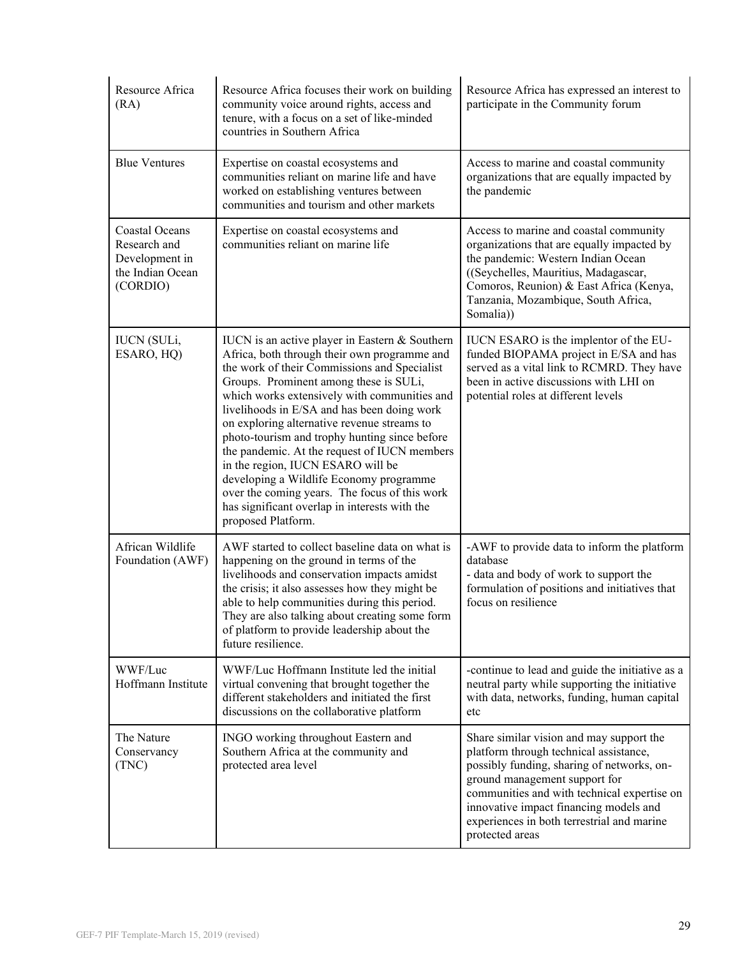| Resource Africa<br>(RA)                                                          | Resource Africa focuses their work on building<br>community voice around rights, access and<br>tenure, with a focus on a set of like-minded<br>countries in Southern Africa                                                                                                                                                                                                                                                                                                                                                                                                                                                                     | Resource Africa has expressed an interest to<br>participate in the Community forum                                                                                                                                                                                                                                          |
|----------------------------------------------------------------------------------|-------------------------------------------------------------------------------------------------------------------------------------------------------------------------------------------------------------------------------------------------------------------------------------------------------------------------------------------------------------------------------------------------------------------------------------------------------------------------------------------------------------------------------------------------------------------------------------------------------------------------------------------------|-----------------------------------------------------------------------------------------------------------------------------------------------------------------------------------------------------------------------------------------------------------------------------------------------------------------------------|
| <b>Blue Ventures</b>                                                             | Expertise on coastal ecosystems and<br>communities reliant on marine life and have<br>worked on establishing ventures between<br>communities and tourism and other markets                                                                                                                                                                                                                                                                                                                                                                                                                                                                      | Access to marine and coastal community<br>organizations that are equally impacted by<br>the pandemic                                                                                                                                                                                                                        |
| Coastal Oceans<br>Research and<br>Development in<br>the Indian Ocean<br>(CORDIO) | Expertise on coastal ecosystems and<br>communities reliant on marine life                                                                                                                                                                                                                                                                                                                                                                                                                                                                                                                                                                       | Access to marine and coastal community<br>organizations that are equally impacted by<br>the pandemic: Western Indian Ocean<br>((Seychelles, Mauritius, Madagascar,<br>Comoros, Reunion) & East Africa (Kenya,<br>Tanzania, Mozambique, South Africa,<br>Somalia)                                                            |
| <b>IUCN</b> (SULi,<br>ESARO, HQ)                                                 | IUCN is an active player in Eastern & Southern<br>Africa, both through their own programme and<br>the work of their Commissions and Specialist<br>Groups. Prominent among these is SULi,<br>which works extensively with communities and<br>livelihoods in E/SA and has been doing work<br>on exploring alternative revenue streams to<br>photo-tourism and trophy hunting since before<br>the pandemic. At the request of IUCN members<br>in the region, IUCN ESARO will be<br>developing a Wildlife Economy programme<br>over the coming years. The focus of this work<br>has significant overlap in interests with the<br>proposed Platform. | IUCN ESARO is the implentor of the EU-<br>funded BIOPAMA project in E/SA and has<br>served as a vital link to RCMRD. They have<br>been in active discussions with LHI on<br>potential roles at different levels                                                                                                             |
| African Wildlife<br>Foundation (AWF)                                             | AWF started to collect baseline data on what is<br>happening on the ground in terms of the<br>livelihoods and conservation impacts amidst<br>the crisis; it also assesses how they might be<br>able to help communities during this period.<br>They are also talking about creating some form<br>of platform to provide leadership about the<br>future resilience.                                                                                                                                                                                                                                                                              | -AWF to provide data to inform the platform<br>database<br>- data and body of work to support the<br>formulation of positions and initiatives that<br>focus on resilience                                                                                                                                                   |
| WWF/Luc<br>Hoffmann Institute                                                    | WWF/Luc Hoffmann Institute led the initial<br>virtual convening that brought together the<br>different stakeholders and initiated the first<br>discussions on the collaborative platform                                                                                                                                                                                                                                                                                                                                                                                                                                                        | -continue to lead and guide the initiative as a<br>neutral party while supporting the initiative<br>with data, networks, funding, human capital<br>etc                                                                                                                                                                      |
| The Nature<br>Conservancy<br>(TNC)                                               | INGO working throughout Eastern and<br>Southern Africa at the community and<br>protected area level                                                                                                                                                                                                                                                                                                                                                                                                                                                                                                                                             | Share similar vision and may support the<br>platform through technical assistance,<br>possibly funding, sharing of networks, on-<br>ground management support for<br>communities and with technical expertise on<br>innovative impact financing models and<br>experiences in both terrestrial and marine<br>protected areas |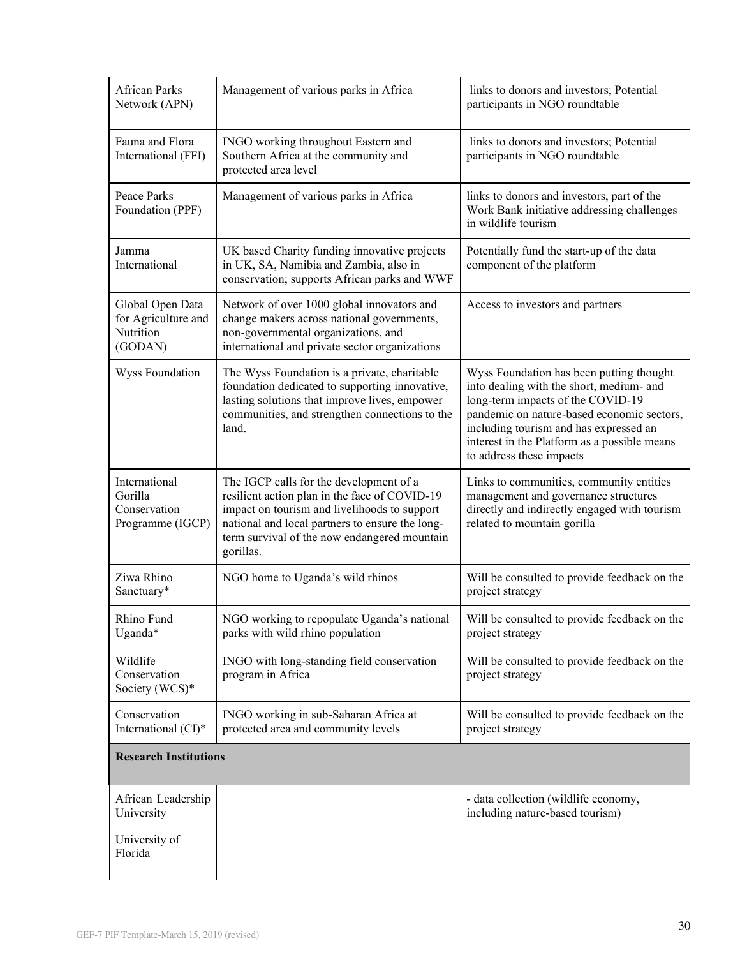| <b>African Parks</b><br>Network (APN)                           | Management of various parks in Africa                                                                                                                                                                                                                    | links to donors and investors; Potential<br>participants in NGO roundtable                                                                                                                                                                                                                    |
|-----------------------------------------------------------------|----------------------------------------------------------------------------------------------------------------------------------------------------------------------------------------------------------------------------------------------------------|-----------------------------------------------------------------------------------------------------------------------------------------------------------------------------------------------------------------------------------------------------------------------------------------------|
| Fauna and Flora<br>International (FFI)                          | INGO working throughout Eastern and<br>Southern Africa at the community and<br>protected area level                                                                                                                                                      | links to donors and investors; Potential<br>participants in NGO roundtable                                                                                                                                                                                                                    |
| Peace Parks<br>Foundation (PPF)                                 | Management of various parks in Africa                                                                                                                                                                                                                    | links to donors and investors, part of the<br>Work Bank initiative addressing challenges<br>in wildlife tourism                                                                                                                                                                               |
| Jamma<br>International                                          | UK based Charity funding innovative projects<br>in UK, SA, Namibia and Zambia, also in<br>conservation; supports African parks and WWF                                                                                                                   | Potentially fund the start-up of the data<br>component of the platform                                                                                                                                                                                                                        |
| Global Open Data<br>for Agriculture and<br>Nutrition<br>(GODAN) | Network of over 1000 global innovators and<br>change makers across national governments,<br>non-governmental organizations, and<br>international and private sector organizations                                                                        | Access to investors and partners                                                                                                                                                                                                                                                              |
| Wyss Foundation                                                 | The Wyss Foundation is a private, charitable<br>foundation dedicated to supporting innovative,<br>lasting solutions that improve lives, empower<br>communities, and strengthen connections to the<br>land.                                               | Wyss Foundation has been putting thought<br>into dealing with the short, medium- and<br>long-term impacts of the COVID-19<br>pandemic on nature-based economic sectors,<br>including tourism and has expressed an<br>interest in the Platform as a possible means<br>to address these impacts |
| International<br>Gorilla<br>Conservation<br>Programme (IGCP)    | The IGCP calls for the development of a<br>resilient action plan in the face of COVID-19<br>impact on tourism and livelihoods to support<br>national and local partners to ensure the long-<br>term survival of the now endangered mountain<br>gorillas. | Links to communities, community entities<br>management and governance structures<br>directly and indirectly engaged with tourism<br>related to mountain gorilla                                                                                                                               |
| Ziwa Rhino<br>Sanctuary*                                        | NGO home to Uganda's wild rhinos                                                                                                                                                                                                                         | Will be consulted to provide feedback on the<br>project strategy                                                                                                                                                                                                                              |
| Rhino Fund<br>Uganda*                                           | NGO working to repopulate Uganda's national<br>parks with wild rhino population                                                                                                                                                                          | Will be consulted to provide feedback on the<br>project strategy                                                                                                                                                                                                                              |
| Wildlife<br>Conservation<br>Society (WCS)*                      | INGO with long-standing field conservation<br>program in Africa                                                                                                                                                                                          | Will be consulted to provide feedback on the<br>project strategy                                                                                                                                                                                                                              |
| Conservation<br>International (CI)*                             | INGO working in sub-Saharan Africa at<br>protected area and community levels                                                                                                                                                                             | Will be consulted to provide feedback on the<br>project strategy                                                                                                                                                                                                                              |
| <b>Research Institutions</b>                                    |                                                                                                                                                                                                                                                          |                                                                                                                                                                                                                                                                                               |
| African Leadership<br>University                                |                                                                                                                                                                                                                                                          | - data collection (wildlife economy,<br>including nature-based tourism)                                                                                                                                                                                                                       |
| University of<br>Florida                                        |                                                                                                                                                                                                                                                          |                                                                                                                                                                                                                                                                                               |